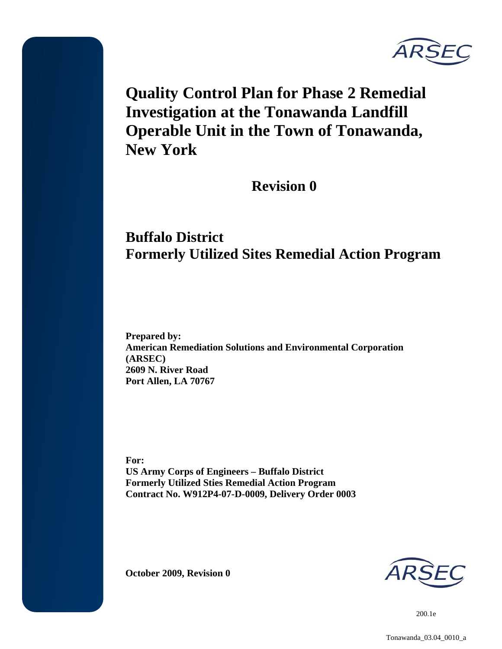

**Quality Control Plan for Phase 2 Remedial Investigation at the Tonawanda Landfill Operable Unit in the Town of Tonawanda, New York** 

**Revision 0** 

# **Buffalo District Formerly Utilized Sites Remedial Action Program**

**Prepared by: American Remediation Solutions and Environmental Corporation (ARSEC) 2609 N. River Road Port Allen, LA 70767** 

**For: US Army Corps of Engineers – Buffalo District Formerly Utilized Sties Remedial Action Program Contract No. W912P4-07-D-0009, Delivery Order 0003** 

**October 2009, Revision 0**

200.1e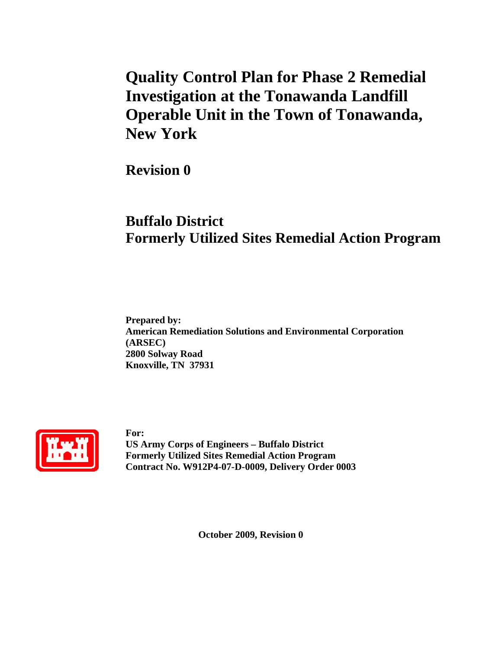# **Quality Control Plan for Phase 2 Remedial Investigation at the Tonawanda Landfill Operable Unit in the Town of Tonawanda, New York**

**Revision 0** 

# **Buffalo District Formerly Utilized Sites Remedial Action Program**

**Prepared by: American Remediation Solutions and Environmental Corporation (ARSEC) 2800 Solway Road Knoxville, TN 37931** 



**For: US Army Corps of Engineers – Buffalo District Formerly Utilized Sites Remedial Action Program Contract No. W912P4-07-D-0009, Delivery Order 0003** 

**October 2009, Revision 0**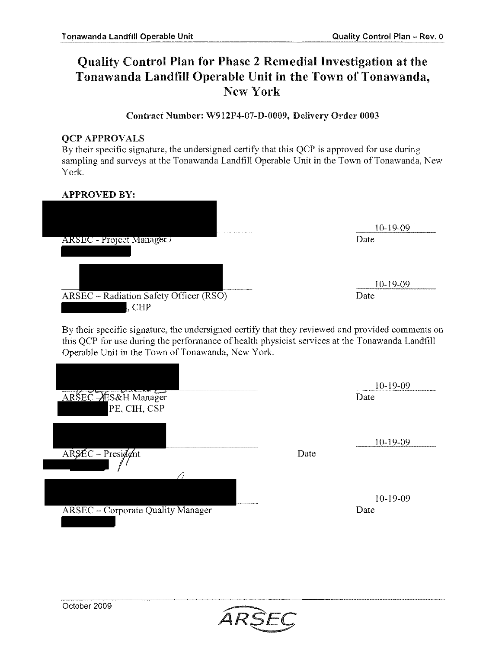# Quality Control Plan for Phase 2 Remedial Investigation at the Tonawanda Landfill Operable Unit in the Town of Tonawanda, New York

#### Contract Number: W912P4-07-D-0009, Delivery Order 0003

#### QCP APPROVALS

By their specific signature, the undersigned certify that this QCP is approved for use during sampling and surveys at the Tonawanda Landfill Operable Unit in the Town of Tonawanda, New York.

#### APPROVED BY:

|                                        | 10-19-09 |
|----------------------------------------|----------|
| ARSEC - Project ManagerJ               | Date     |
|                                        |          |
|                                        |          |
|                                        | 10-19-09 |
| ARSEC - Radiation Safety Officer (RSO) | Date     |
| $,$ CHP                                |          |

By their specific signature, the undersigned certify that they reviewed and provided comments on this OCP for use during the performance of health physicist services at the Tonawanda Landfill Operable Unit in the Town of Tonawanda, New York.

| ARSEC AES&H Manager<br>PE, CIH, CSP      |      | 10-19-09<br>Date |
|------------------------------------------|------|------------------|
| ARSÉC - President                        | Date | 10-19-09         |
| <b>ARSEC</b> - Corporate Quality Manager |      | 10-19-09<br>Date |

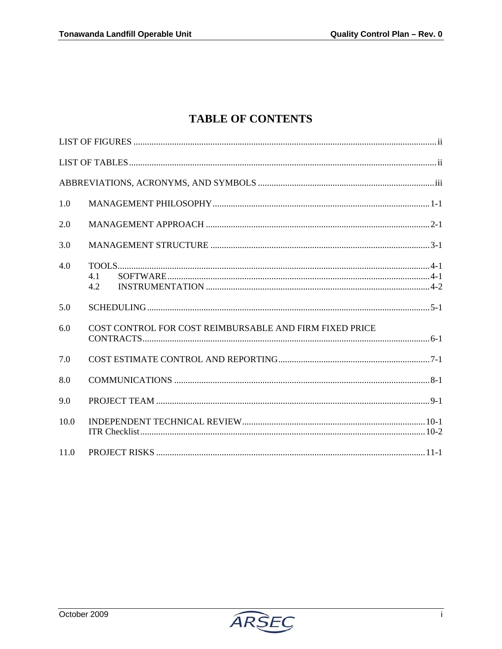# **TABLE OF CONTENTS**

| 1.0  |                                                         |
|------|---------------------------------------------------------|
| 2.0  |                                                         |
| 3.0  |                                                         |
| 40   | 4.1<br>4.2                                              |
| 5.0  |                                                         |
| 6.0  | COST CONTROL FOR COST REIMBURSABLE AND FIRM FIXED PRICE |
| 7.0  |                                                         |
| 8.0  |                                                         |
| 9.0  |                                                         |
| 10.0 |                                                         |
| 11.0 |                                                         |

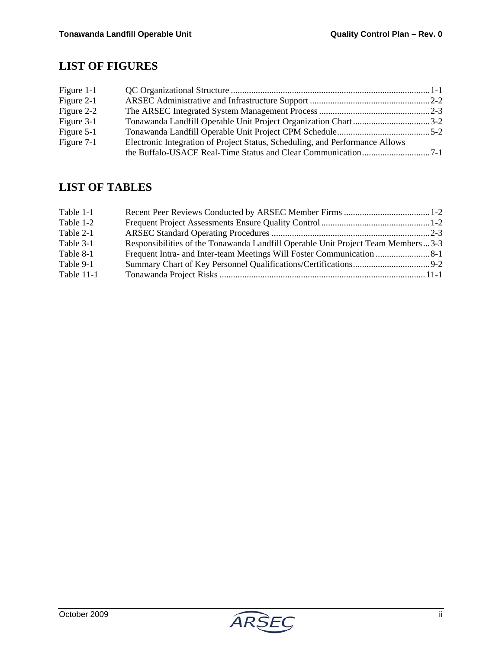# **LIST OF FIGURES**

| Figure 1-1   |                                                                              |  |
|--------------|------------------------------------------------------------------------------|--|
| Figure 2-1   |                                                                              |  |
| Figure 2-2   |                                                                              |  |
| Figure 3-1   | Tonawanda Landfill Operable Unit Project Organization Chart3-2               |  |
| Figure $5-1$ |                                                                              |  |
| Figure 7-1   | Electronic Integration of Project Status, Scheduling, and Performance Allows |  |
|              |                                                                              |  |

# **LIST OF TABLES**

| Table 1-1  |                                                                                  |  |
|------------|----------------------------------------------------------------------------------|--|
| Table 1-2  |                                                                                  |  |
| Table 2-1  |                                                                                  |  |
| Table 3-1  | Responsibilities of the Tonawanda Landfill Operable Unit Project Team Members3-3 |  |
| Table 8-1  |                                                                                  |  |
| Table 9-1  |                                                                                  |  |
| Table 11-1 |                                                                                  |  |

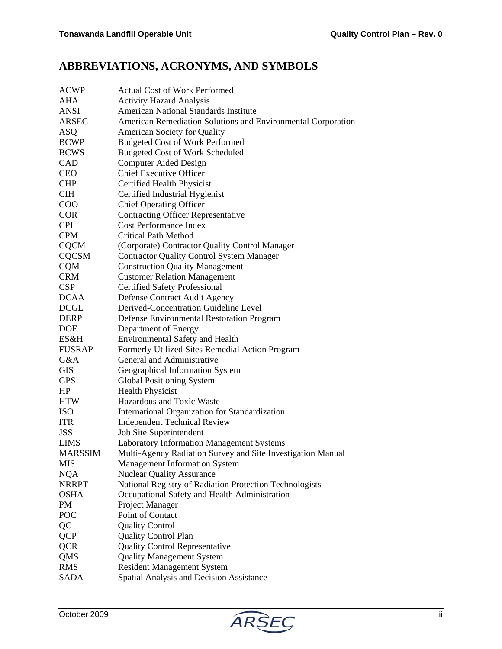# **ABBREVIATIONS, ACRONYMS, AND SYMBOLS**

| <b>ACWP</b>    | <b>Actual Cost of Work Performed</b>                         |
|----------------|--------------------------------------------------------------|
| AHA            | <b>Activity Hazard Analysis</b>                              |
| <b>ANSI</b>    | <b>American National Standards Institute</b>                 |
| <b>ARSEC</b>   | American Remediation Solutions and Environmental Corporation |
| <b>ASQ</b>     | American Society for Quality                                 |
| <b>BCWP</b>    | <b>Budgeted Cost of Work Performed</b>                       |
| <b>BCWS</b>    | <b>Budgeted Cost of Work Scheduled</b>                       |
| CAD            | <b>Computer Aided Design</b>                                 |
| <b>CEO</b>     | <b>Chief Executive Officer</b>                               |
| <b>CHP</b>     | Certified Health Physicist                                   |
| <b>CIH</b>     | Certified Industrial Hygienist                               |
| COO            | <b>Chief Operating Officer</b>                               |
| <b>COR</b>     | <b>Contracting Officer Representative</b>                    |
| <b>CPI</b>     | <b>Cost Performance Index</b>                                |
| <b>CPM</b>     | <b>Critical Path Method</b>                                  |
| <b>CQCM</b>    | (Corporate) Contractor Quality Control Manager               |
| <b>CQCSM</b>   | <b>Contractor Quality Control System Manager</b>             |
| <b>CQM</b>     | <b>Construction Quality Management</b>                       |
| <b>CRM</b>     | <b>Customer Relation Management</b>                          |
| <b>CSP</b>     | <b>Certified Safety Professional</b>                         |
| <b>DCAA</b>    | Defense Contract Audit Agency                                |
| <b>DCGL</b>    | Derived-Concentration Guideline Level                        |
| <b>DERP</b>    | Defense Environmental Restoration Program                    |
| <b>DOE</b>     | Department of Energy                                         |
| ES&H           | <b>Environmental Safety and Health</b>                       |
| <b>FUSRAP</b>  | Formerly Utilized Sites Remedial Action Program              |
| G&A            | General and Administrative                                   |
| GIS            | Geographical Information System                              |
| <b>GPS</b>     | <b>Global Positioning System</b>                             |
| HP             | <b>Health Physicist</b>                                      |
| <b>HTW</b>     | Hazardous and Toxic Waste                                    |
| <b>ISO</b>     | International Organization for Standardization               |
| <b>ITR</b>     | <b>Independent Technical Review</b>                          |
| <b>JSS</b>     | Job Site Superintendent                                      |
| <b>LIMS</b>    | Laboratory Information Management Systems                    |
| <b>MARSSIM</b> | Multi-Agency Radiation Survey and Site Investigation Manual  |
| <b>MIS</b>     | <b>Management Information System</b>                         |
| <b>NQA</b>     | <b>Nuclear Quality Assurance</b>                             |
| <b>NRRPT</b>   | National Registry of Radiation Protection Technologists      |
| <b>OSHA</b>    | Occupational Safety and Health Administration                |
| PM             | Project Manager                                              |
| POC            | Point of Contact                                             |
| QC             | <b>Quality Control</b>                                       |
| <b>QCP</b>     | <b>Quality Control Plan</b>                                  |
| <b>QCR</b>     | <b>Quality Control Representative</b>                        |
| QMS            | <b>Quality Management System</b>                             |
| <b>RMS</b>     | <b>Resident Management System</b>                            |
| SADA           | Spatial Analysis and Decision Assistance                     |

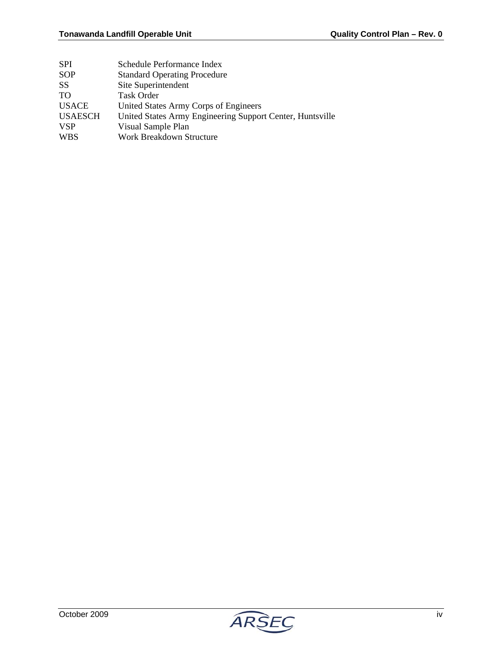| <b>SPI</b>      | Schedule Performance Index                                |
|-----------------|-----------------------------------------------------------|
| SOP             | <b>Standard Operating Procedure</b>                       |
| <b>SS</b>       | Site Superintendent                                       |
| TO <sub>1</sub> | <b>Task Order</b>                                         |
| <b>USACE</b>    | United States Army Corps of Engineers                     |
| <b>USAESCH</b>  | United States Army Engineering Support Center, Huntsville |
| <b>VSP</b>      | Visual Sample Plan                                        |
| <b>WBS</b>      | Work Breakdown Structure                                  |
|                 |                                                           |

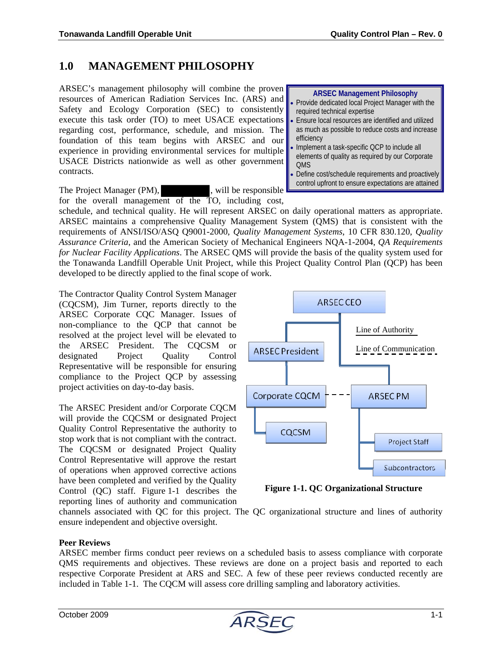### **1.0 MANAGEMENT PHILOSOPHY**

ARSEC's management philosophy will combine the proven resources of American Radiation Services Inc. (ARS) and Safety and Ecology Corporation (SEC) to consistently execute this task order (TO) to meet USACE expectations regarding cost, performance, schedule, and mission. The foundation of this team begins with ARSEC and our experience in providing environmental services for multiple USACE Districts nationwide as well as other government contracts.

The Project Manager (PM), will be responsible for the overall management of the TO, including cost,

#### **ARSEC Management Philosophy**  • Provide dedicated local Project Manager with the required technical expertise • Ensure local resources are identified and utilized as much as possible to reduce costs and increase efficiency • Implement a task-specific QCP to include all elements of quality as required by our Corporate

**OMS** • Define cost/schedule requirements and proactively control upfront to ensure expectations are attained

schedule, and technical quality. He will represent ARSEC on daily operational matters as appropriate. ARSEC maintains a comprehensive Quality Management System (QMS) that is consistent with the requirements of ANSI/ISO/ASQ Q9001-2000, *Quality Management Systems*, 10 CFR 830.120, *Quality Assurance Criteria*, and the American Society of Mechanical Engineers NQA-1-2004, *QA Requirements for Nuclear Facility Applications*. The ARSEC QMS will provide the basis of the quality system used for the Tonawanda Landfill Operable Unit Project, while this Project Quality Control Plan (QCP) has been developed to be directly applied to the final scope of work.

The Contractor Quality Control System Manager (CQCSM), Jim Turner, reports directly to the ARSEC Corporate CQC Manager. Issues of non-compliance to the QCP that cannot be resolved at the project level will be elevated to the ARSEC President. The CQCSM or designated Project Quality Control Representative will be responsible for ensuring compliance to the Project QCP by assessing project activities on day-to-day basis.

The ARSEC President and/or Corporate CQCM will provide the CQCSM or designated Project Quality Control Representative the authority to stop work that is not compliant with the contract. The CQCSM or designated Project Quality Control Representative will approve the restart of operations when approved corrective actions have been completed and verified by the Quality Control (QC) staff. Figure 1-1 describes the reporting lines of authority and communication



**Figure 1-1. QC Organizational Structure** 

channels associated with QC for this project. The QC organizational structure and lines of authority ensure independent and objective oversight.

#### **Peer Reviews**

ARSEC member firms conduct peer reviews on a scheduled basis to assess compliance with corporate QMS requirements and objectives. These reviews are done on a project basis and reported to each respective Corporate President at ARS and SEC. A few of these peer reviews conducted recently are included in Table 1-1. The CQCM will assess core drilling sampling and laboratory activities.

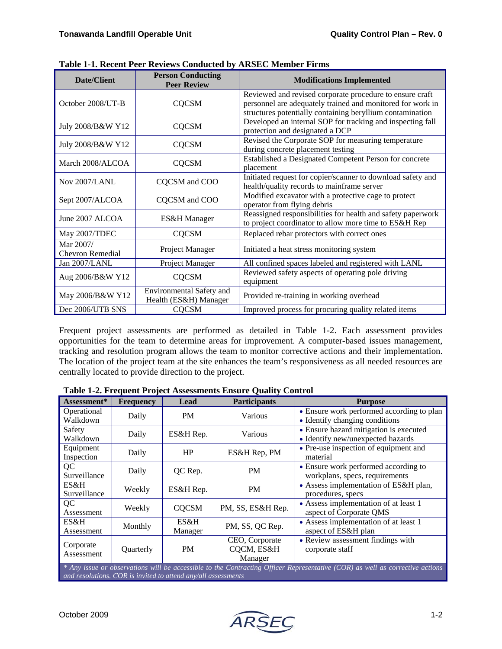| <b>Date/Client</b>                   | <b>Person Conducting</b><br><b>Peer Review</b>    | <b>Modifications Implemented</b>                                                                                                                                                    |
|--------------------------------------|---------------------------------------------------|-------------------------------------------------------------------------------------------------------------------------------------------------------------------------------------|
| October 2008/UT-B                    | <b>CQCSM</b>                                      | Reviewed and revised corporate procedure to ensure craft<br>personnel are adequately trained and monitored for work in<br>structures potentially containing beryllium contamination |
| July 2008/B&W Y12                    | <b>CQCSM</b>                                      | Developed an internal SOP for tracking and inspecting fall<br>protection and designated a DCP                                                                                       |
| July 2008/B&W Y12                    | <b>CQCSM</b>                                      | Revised the Corporate SOP for measuring temperature<br>during concrete placement testing                                                                                            |
| March 2008/ALCOA                     | <b>CQCSM</b>                                      | Established a Designated Competent Person for concrete<br>placement                                                                                                                 |
| Nov 2007/LANL                        | CQCSM and COO                                     | Initiated request for copier/scanner to download safety and<br>health/quality records to mainframe server                                                                           |
| Sept 2007/ALCOA                      | CQCSM and COO                                     | Modified excavator with a protective cage to protect<br>operator from flying debris                                                                                                 |
| June 2007 ALCOA                      | ES&H Manager                                      | Reassigned responsibilities for health and safety paperwork<br>to project coordinator to allow more time to ES&H Rep                                                                |
| May 2007/TDEC                        | <b>CQCSM</b>                                      | Replaced rebar protectors with correct ones                                                                                                                                         |
| Mar 2007/<br><b>Chevron Remedial</b> | Project Manager                                   | Initiated a heat stress monitoring system                                                                                                                                           |
| Jan 2007/LANL                        | Project Manager                                   | All confined spaces labeled and registered with LANL                                                                                                                                |
| Aug 2006/B&W Y12                     | <b>CQCSM</b>                                      | Reviewed safety aspects of operating pole driving<br>equipment                                                                                                                      |
| May 2006/B&W Y12                     | Environmental Safety and<br>Health (ES&H) Manager | Provided re-training in working overhead                                                                                                                                            |
| Dec 2006/UTB SNS                     | <b>CQCSM</b>                                      | Improved process for procuring quality related items                                                                                                                                |

**Table 1-1. Recent Peer Reviews Conducted by ARSEC Member Firms**

Frequent project assessments are performed as detailed in Table 1-2. Each assessment provides opportunities for the team to determine areas for improvement. A computer-based issues management, tracking and resolution program allows the team to monitor corrective actions and their implementation. The location of the project team at the site enhances the team's responsiveness as all needed resources are centrally located to provide direction to the project.

| Assessment*                                                                                                                                                                                   | <b>Frequency</b> | Lead            | <b>Participants</b>                     | <b>Purpose</b>                                                              |
|-----------------------------------------------------------------------------------------------------------------------------------------------------------------------------------------------|------------------|-----------------|-----------------------------------------|-----------------------------------------------------------------------------|
| Operational<br>Walkdown                                                                                                                                                                       | Daily            | <b>PM</b>       | Various                                 | • Ensure work performed according to plan<br>• Identify changing conditions |
| Safety<br>Walkdown                                                                                                                                                                            | Daily            | ES&H Rep.       | Various                                 | • Ensure hazard mitigation is executed<br>• Identify new/unexpected hazards |
| Equipment<br>Inspection                                                                                                                                                                       | Daily            | HP              | ES&H Rep, PM                            | • Pre-use inspection of equipment and<br>material                           |
| QC<br>Surveillance                                                                                                                                                                            | Daily            | QC Rep.         | <b>PM</b>                               | • Ensure work performed according to<br>workplans, specs, requirements      |
| ES&H<br>Surveillance                                                                                                                                                                          | Weekly           | ES&H Rep.       | <b>PM</b>                               | • Assess implementation of ES&H plan,<br>procedures, specs                  |
| QC<br>Assessment                                                                                                                                                                              | Weekly           | <b>COCSM</b>    | PM, SS, ES&H Rep.                       | • Assess implementation of at least 1<br>aspect of Corporate QMS            |
| ES&H<br>Assessment                                                                                                                                                                            | Monthly          | ES&H<br>Manager | PM, SS, QC Rep.                         | • Assess implementation of at least 1<br>aspect of ES&H plan                |
| Corporate<br>Assessment                                                                                                                                                                       | Quarterly        | <b>PM</b>       | CEO, Corporate<br>CQCM, ES&H<br>Manager | • Review assessment findings with<br>corporate staff                        |
| * Any issue or observations will be accessible to the Contracting Officer Representative (COR) as well as corrective actions<br>and resolutions. COR is invited to attend any/all assessments |                  |                 |                                         |                                                                             |

**Table 1-2. Frequent Project Assessments Ensure Quality Control**

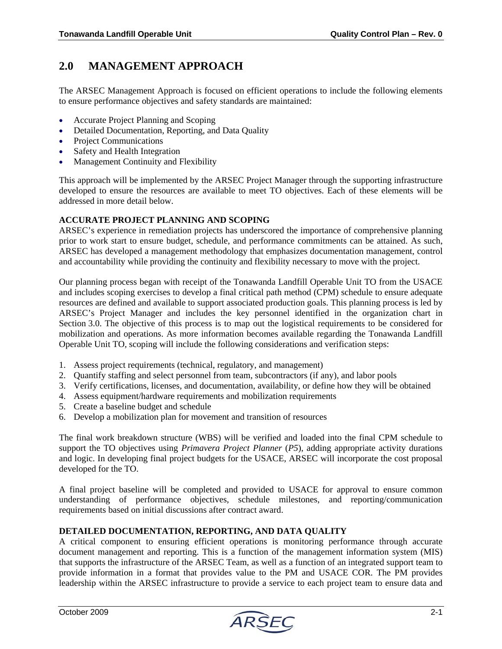### **2.0 MANAGEMENT APPROACH**

The ARSEC Management Approach is focused on efficient operations to include the following elements to ensure performance objectives and safety standards are maintained:

- Accurate Project Planning and Scoping
- Detailed Documentation, Reporting, and Data Quality
- Project Communications
- Safety and Health Integration
- Management Continuity and Flexibility

This approach will be implemented by the ARSEC Project Manager through the supporting infrastructure developed to ensure the resources are available to meet TO objectives. Each of these elements will be addressed in more detail below.

#### **ACCURATE PROJECT PLANNING AND SCOPING**

ARSEC's experience in remediation projects has underscored the importance of comprehensive planning prior to work start to ensure budget, schedule, and performance commitments can be attained. As such, ARSEC has developed a management methodology that emphasizes documentation management, control and accountability while providing the continuity and flexibility necessary to move with the project.

Our planning process began with receipt of the Tonawanda Landfill Operable Unit TO from the USACE and includes scoping exercises to develop a final critical path method (CPM) schedule to ensure adequate resources are defined and available to support associated production goals. This planning process is led by ARSEC's Project Manager and includes the key personnel identified in the organization chart in Section 3.0. The objective of this process is to map out the logistical requirements to be considered for mobilization and operations. As more information becomes available regarding the Tonawanda Landfill Operable Unit TO, scoping will include the following considerations and verification steps:

- 1. Assess project requirements (technical, regulatory, and management)
- 2. Quantify staffing and select personnel from team, subcontractors (if any), and labor pools
- 3. Verify certifications, licenses, and documentation, availability, or define how they will be obtained
- 4. Assess equipment/hardware requirements and mobilization requirements
- 5. Create a baseline budget and schedule
- 6. Develop a mobilization plan for movement and transition of resources

The final work breakdown structure (WBS) will be verified and loaded into the final CPM schedule to support the TO objectives using *Primavera Project Planner* (*P5*), adding appropriate activity durations and logic. In developing final project budgets for the USACE, ARSEC will incorporate the cost proposal developed for the TO.

A final project baseline will be completed and provided to USACE for approval to ensure common understanding of performance objectives, schedule milestones, and reporting/communication requirements based on initial discussions after contract award.

#### **DETAILED DOCUMENTATION, REPORTING, AND DATA QUALITY**

A critical component to ensuring efficient operations is monitoring performance through accurate document management and reporting. This is a function of the management information system (MIS) that supports the infrastructure of the ARSEC Team, as well as a function of an integrated support team to provide information in a format that provides value to the PM and USACE COR. The PM provides leadership within the ARSEC infrastructure to provide a service to each project team to ensure data and

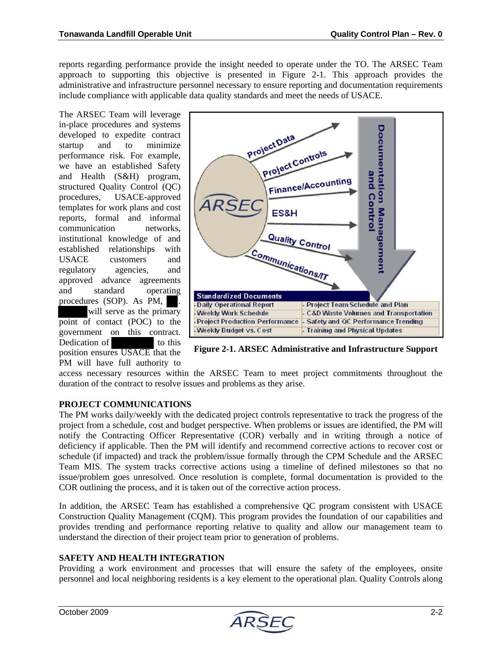reports regarding performance provide the insight needed to operate under the TO. The ARSEC Team approach to supporting this objective is presented in Figure 2-1. This approach provides the administrative and infrastructure personnel necessary to ensure reporting and documentation requirements include compliance with applicable data quality standards and meet the needs of USACE.

The ARSEC Team will leverage in-place procedures and systems developed to expedite contract startup and to minimize performance risk. For example, we have an established Safety and Health (S&H) program, structured Quality Control (QC) procedures, USACE-approved templates for work plans and cost reports, formal and informal communication networks, institutional knowledge of and established relationships with USACE customers and regulatory agencies, and approved advance agreements and standard operating procedures (SOP). As PM, will serve as the primary point of contact (POC) to the government on this contract. Dedication of to this position ensures USACE that the PM will have full authority to



**Figure 2-1. ARSEC Administrative and Infrastructure Support**

access necessary resources within the ARSEC Team to meet project commitments throughout the duration of the contract to resolve issues and problems as they arise.

#### **PROJECT COMMUNICATIONS**

The PM works daily/weekly with the dedicated project controls representative to track the progress of the project from a schedule, cost and budget perspective. When problems or issues are identified, the PM will notify the Contracting Officer Representative (COR) verbally and in writing through a notice of deficiency if applicable. Then the PM will identify and recommend corrective actions to recover cost or schedule (if impacted) and track the problem/issue formally through the CPM Schedule and the ARSEC Team MIS. The system tracks corrective actions using a timeline of defined milestones so that no issue/problem goes unresolved. Once resolution is complete, formal documentation is provided to the COR outlining the process, and it is taken out of the corrective action process.

In addition, the ARSEC Team has established a comprehensive QC program consistent with USACE Construction Quality Management (CQM). This program provides the foundation of our capabilities and provides trending and performance reporting relative to quality and allow our management team to understand the direction of their project team prior to generation of problems.

#### **SAFETY AND HEALTH INTEGRATION**

Providing a work environment and processes that will ensure the safety of the employees, onsite personnel and local neighboring residents is a key element to the operational plan. Quality Controls along

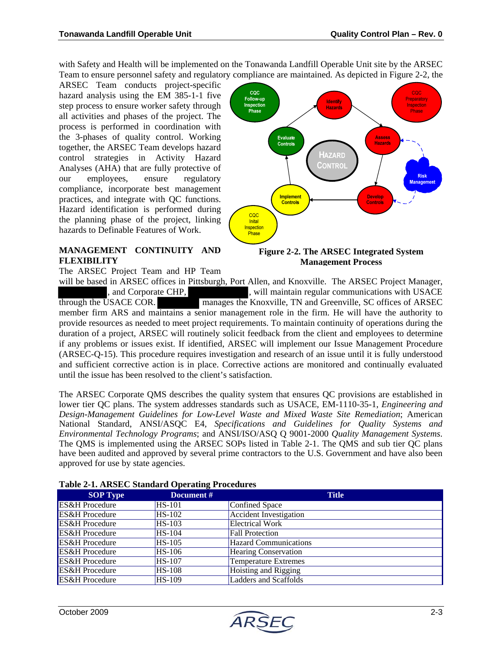with Safety and Health will be implemented on the Tonawanda Landfill Operable Unit site by the ARSEC Team to ensure personnel safety and regulatory compliance are maintained. As depicted in Figure 2-2, the

ARSEC Team conducts project-specific hazard analysis using the EM 385-1-1 five step process to ensure worker safety through all activities and phases of the project. The process is performed in coordination with the 3-phases of quality control. Working together, the ARSEC Team develops hazard control strategies in Activity Hazard Analyses (AHA) that are fully protective of our employees, ensure regulatory compliance, incorporate best management practices, and integrate with QC functions. Hazard identification is performed during the planning phase of the project, linking hazards to Definable Features of Work.

#### **MANAGEMENT CONTINUITY AND FLEXIBILITY**

The ARSEC Project Team and HP Team



#### **Figure 2-2. The ARSEC Integrated System Management Process**

will be based in ARSEC offices in Pittsburgh, Port Allen, and Knoxville. The ARSEC Project Manager, and Corporate CHP,  $\qquad \qquad$ , will maintain regular communications with USACE through the USACE COR. manages the Knoxville, TN and Greenville, SC offices of ARSEC member firm ARS and maintains a senior management role in the firm. He will have the authority to provide resources as needed to meet project requirements. To maintain continuity of operations during the duration of a project, ARSEC will routinely solicit feedback from the client and employees to determine if any problems or issues exist. If identified, ARSEC will implement our Issue Management Procedure (ARSEC-Q-15). This procedure requires investigation and research of an issue until it is fully understood and sufficient corrective action is in place. Corrective actions are monitored and continually evaluated until the issue has been resolved to the client's satisfaction.

The ARSEC Corporate QMS describes the quality system that ensures QC provisions are established in lower tier QC plans. The system addresses standards such as USACE, EM-1110-35-1, *Engineering and Design-Management Guidelines for Low-Level Waste and Mixed Waste Site Remediation*; American National Standard, ANSI/ASQC E4, *Specifications and Guidelines for Quality Systems and Environmental Technology Programs*; and ANSI/ISO/ASQ Q 9001-2000 *Quality Management Systems*. The QMS is implemented using the ARSEC SOPs listed in Table 2-1. The QMS and sub tier QC plans have been audited and approved by several prime contractors to the U.S. Government and have also been approved for use by state agencies.

| <b>SOP Type</b>           | Document #    | <b>Title</b>                 |
|---------------------------|---------------|------------------------------|
| <b>ES&amp;H</b> Procedure | <b>HS-101</b> | Confined Space               |
| <b>ES&amp;H</b> Procedure | <b>HS-102</b> | Accident Investigation       |
| <b>ES&amp;H</b> Procedure | <b>HS-103</b> | Electrical Work              |
| <b>ES&amp;H</b> Procedure | <b>HS-104</b> | <b>Fall Protection</b>       |
| <b>ES&amp;H</b> Procedure | <b>HS-105</b> | <b>Hazard Communications</b> |
| <b>ES&amp;H</b> Procedure | HS-106        | <b>Hearing Conservation</b>  |
| <b>ES&amp;H</b> Procedure | <b>HS-107</b> | <b>Temperature Extremes</b>  |
| <b>ES&amp;H</b> Procedure | <b>HS-108</b> | Hoisting and Rigging         |
| <b>ES&amp;H</b> Procedure | <b>HS-109</b> | <b>Ladders and Scaffolds</b> |

#### **Table 2-1. ARSEC Standard Operating Procedures**

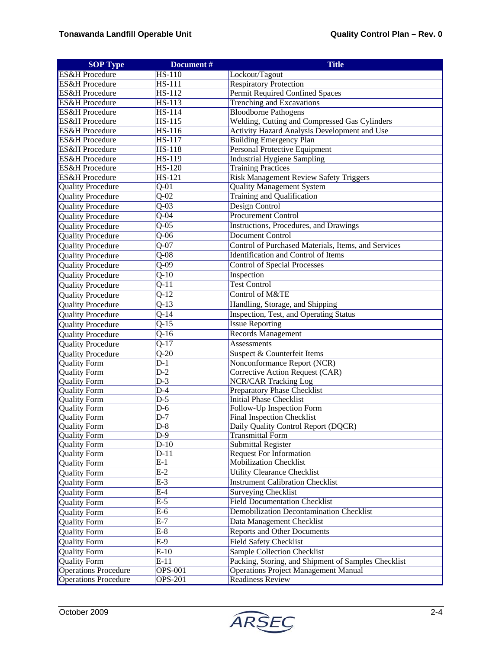| <b>SOP Type</b>             | Document #        | <b>Title</b>                                        |
|-----------------------------|-------------------|-----------------------------------------------------|
| <b>ES&amp;H</b> Procedure   | HS-110            | Lockout/Tagout                                      |
| <b>ES&amp;H</b> Procedure   | $HS-111$          | <b>Respiratory Protection</b>                       |
| <b>ES&amp;H</b> Procedure   | HS-112            | Permit Required Confined Spaces                     |
| <b>ES&amp;H</b> Procedure   | $HS-113$          | <b>Trenching and Excavations</b>                    |
| <b>ES&amp;H</b> Procedure   | $HS-114$          | <b>Bloodborne Pathogens</b>                         |
| <b>ES&amp;H</b> Procedure   | <b>HS-115</b>     | Welding, Cutting and Compressed Gas Cylinders       |
| <b>ES&amp;H</b> Procedure   | HS-116            | Activity Hazard Analysis Development and Use        |
| <b>ES&amp;H</b> Procedure   | HS-117            | <b>Building Emergency Plan</b>                      |
| <b>ES&amp;H</b> Procedure   | <b>HS-118</b>     | Personal Protective Equipment                       |
| <b>ES&amp;H</b> Procedure   | <b>HS-119</b>     | <b>Industrial Hygiene Sampling</b>                  |
| <b>ES&amp;H</b> Procedure   | HS-120            | <b>Training Practices</b>                           |
| <b>ES&amp;H</b> Procedure   | $HS-121$          | <b>Risk Management Review Safety Triggers</b>       |
| <b>Quality Procedure</b>    | $Q-0\overline{1}$ | <b>Quality Management System</b>                    |
| Quality Procedure           | $\overline{Q-02}$ | Training and Qualification                          |
| <b>Quality Procedure</b>    | $Q-03$            | Design Control                                      |
| <b>Quality Procedure</b>    | $\overline{Q-04}$ | <b>Procurement Control</b>                          |
| <b>Quality Procedure</b>    | $\overline{Q-05}$ | Instructions, Procedures, and Drawings              |
| <b>Quality Procedure</b>    | $\overline{Q-06}$ | <b>Document Control</b>                             |
| <b>Quality Procedure</b>    | $Q-07$            | Control of Purchased Materials, Items, and Services |
| <b>Quality Procedure</b>    | $\overline{Q-08}$ | <b>Identification and Control of Items</b>          |
|                             | $\overline{Q-09}$ |                                                     |
| <b>Quality Procedure</b>    |                   | <b>Control of Special Processes</b>                 |
| <b>Quality Procedure</b>    | $\overline{Q-10}$ | Inspection                                          |
| <b>Quality Procedure</b>    | $\overline{Q-11}$ | <b>Test Control</b>                                 |
| <b>Quality Procedure</b>    | $\overline{Q-12}$ | Control of M&TE                                     |
| <b>Quality Procedure</b>    | $\overline{Q-13}$ | Handling, Storage, and Shipping                     |
| <b>Quality Procedure</b>    | $\overline{Q-14}$ | Inspection, Test, and Operating Status              |
| <b>Quality Procedure</b>    | $Q-15$            | <b>Issue Reporting</b>                              |
| <b>Quality Procedure</b>    | $\overline{Q-16}$ | <b>Records Management</b>                           |
| <b>Quality Procedure</b>    | $Q-17$            | Assessments                                         |
| <b>Quality Procedure</b>    | $\overline{Q-20}$ | Suspect & Counterfeit Items                         |
| <b>Quality Form</b>         | $\overline{D-1}$  | Nonconformance Report (NCR)                         |
| <b>Quality Form</b>         | $D-2$             | Corrective Action Request (CAR)                     |
| Quality Form                | $D-3$             | <b>NCR/CAR Tracking Log</b>                         |
| <b>Quality Form</b>         | $\overline{D}$ -4 | Preparatory Phase Checklist                         |
| <b>Quality Form</b>         | $D-5$             | <b>Initial Phase Checklist</b>                      |
| <b>Quality Form</b>         | $D-6$             | Follow-Up Inspection Form                           |
| <b>Quality Form</b>         | $\overline{D-7}$  | <b>Final Inspection Checklist</b>                   |
| <b>Quality Form</b>         | $D-8$             | Daily Quality Control Report (DQCR)                 |
| Quality Form                | $\overline{D-9}$  | <b>Transmittal Form</b>                             |
| <b>Quality Form</b>         | $D-10$            | <b>Submittal Register</b>                           |
| Quality Form                | $D-11$            | <b>Request For Information</b>                      |
| <b>Quality Form</b>         | $E-1$             | <b>Mobilization Checklist</b>                       |
| <b>Quality Form</b>         | $E-2$             | <b>Utility Clearance Checklist</b>                  |
| <b>Quality Form</b>         | $E-3$             | <b>Instrument Calibration Checklist</b>             |
| <b>Quality Form</b>         | $E-4$             | <b>Surveying Checklist</b>                          |
| <b>Quality Form</b>         | $E-5$             | <b>Field Documentation Checklist</b>                |
| <b>Quality Form</b>         | $E-6$             | Demobilization Decontamination Checklist            |
| <b>Quality Form</b>         | $E-7$             | Data Management Checklist                           |
| <b>Quality Form</b>         | $E-8$             | <b>Reports and Other Documents</b>                  |
| <b>Quality Form</b>         | $E-9$             | <b>Field Safety Checklist</b>                       |
| <b>Quality Form</b>         | $E-10$            | Sample Collection Checklist                         |
| <b>Quality Form</b>         | $E-11$            | Packing, Storing, and Shipment of Samples Checklist |
| <b>Operations Procedure</b> | <b>OPS-001</b>    | <b>Operations Project Management Manual</b>         |
| <b>Operations Procedure</b> | <b>OPS-201</b>    | <b>Readiness Review</b>                             |
|                             |                   |                                                     |

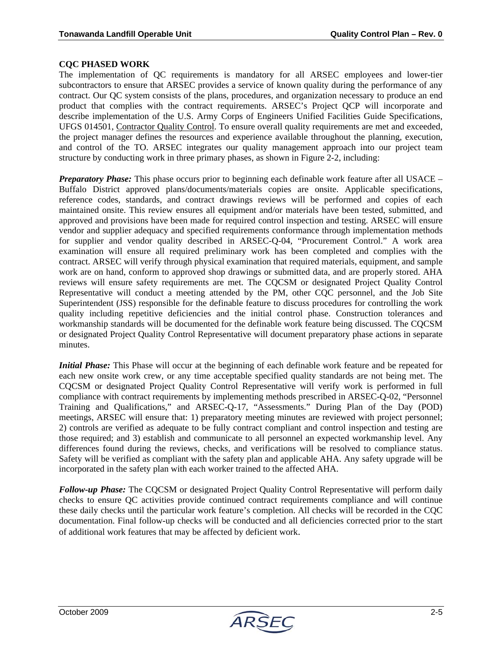#### **CQC PHASED WORK**

The implementation of QC requirements is mandatory for all ARSEC employees and lower-tier subcontractors to ensure that ARSEC provides a service of known quality during the performance of any contract. Our QC system consists of the plans, procedures, and organization necessary to produce an end product that complies with the contract requirements. ARSEC's Project QCP will incorporate and describe implementation of the U.S. Army Corps of Engineers Unified Facilities Guide Specifications, UFGS 014501, Contractor Quality Control. To ensure overall quality requirements are met and exceeded, the project manager defines the resources and experience available throughout the planning, execution, and control of the TO. ARSEC integrates our quality management approach into our project team structure by conducting work in three primary phases, as shown in Figure 2-2, including:

*Preparatory Phase:* This phase occurs prior to beginning each definable work feature after all USACE – Buffalo District approved plans/documents/materials copies are onsite. Applicable specifications, reference codes, standards, and contract drawings reviews will be performed and copies of each maintained onsite. This review ensures all equipment and/or materials have been tested, submitted, and approved and provisions have been made for required control inspection and testing. ARSEC will ensure vendor and supplier adequacy and specified requirements conformance through implementation methods for supplier and vendor quality described in ARSEC-Q-04, "Procurement Control." A work area examination will ensure all required preliminary work has been completed and complies with the contract. ARSEC will verify through physical examination that required materials, equipment, and sample work are on hand, conform to approved shop drawings or submitted data, and are properly stored. AHA reviews will ensure safety requirements are met. The CQCSM or designated Project Quality Control Representative will conduct a meeting attended by the PM, other CQC personnel, and the Job Site Superintendent (JSS) responsible for the definable feature to discuss procedures for controlling the work quality including repetitive deficiencies and the initial control phase. Construction tolerances and workmanship standards will be documented for the definable work feature being discussed. The CQCSM or designated Project Quality Control Representative will document preparatory phase actions in separate minutes.

*Initial Phase:* This Phase will occur at the beginning of each definable work feature and be repeated for each new onsite work crew, or any time acceptable specified quality standards are not being met. The CQCSM or designated Project Quality Control Representative will verify work is performed in full compliance with contract requirements by implementing methods prescribed in ARSEC-Q-02, "Personnel Training and Qualifications," and ARSEC-Q-17, "Assessments." During Plan of the Day (POD) meetings, ARSEC will ensure that: 1) preparatory meeting minutes are reviewed with project personnel; 2) controls are verified as adequate to be fully contract compliant and control inspection and testing are those required; and 3) establish and communicate to all personnel an expected workmanship level. Any differences found during the reviews, checks, and verifications will be resolved to compliance status. Safety will be verified as compliant with the safety plan and applicable AHA. Any safety upgrade will be incorporated in the safety plan with each worker trained to the affected AHA.

*Follow-up Phase:* The CQCSM or designated Project Quality Control Representative will perform daily checks to ensure QC activities provide continued contract requirements compliance and will continue these daily checks until the particular work feature's completion. All checks will be recorded in the CQC documentation. Final follow-up checks will be conducted and all deficiencies corrected prior to the start of additional work features that may be affected by deficient work.

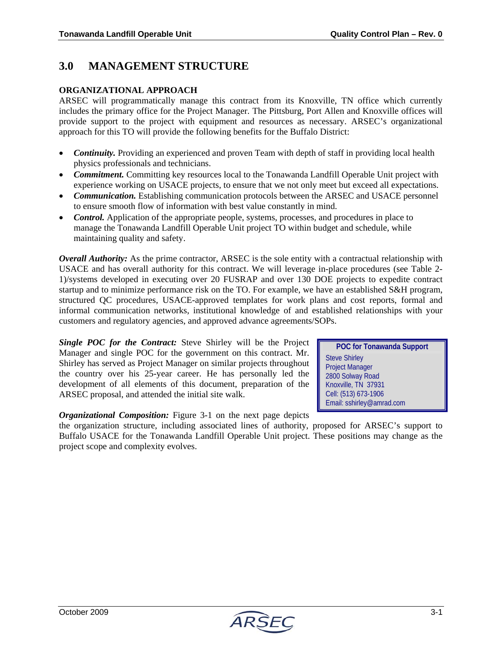### **3.0 MANAGEMENT STRUCTURE**

#### **ORGANIZATIONAL APPROACH**

ARSEC will programmatically manage this contract from its Knoxville, TN office which currently includes the primary office for the Project Manager. The Pittsburg, Port Allen and Knoxville offices will provide support to the project with equipment and resources as necessary. ARSEC's organizational approach for this TO will provide the following benefits for the Buffalo District:

- **Continuity.** Providing an experienced and proven Team with depth of staff in providing local health physics professionals and technicians.
- *Commitment.* Committing key resources local to the Tonawanda Landfill Operable Unit project with experience working on USACE projects, to ensure that we not only meet but exceed all expectations.
- *Communication.* Establishing communication protocols between the ARSEC and USACE personnel to ensure smooth flow of information with best value constantly in mind.
- *Control.* Application of the appropriate people, systems, processes, and procedures in place to manage the Tonawanda Landfill Operable Unit project TO within budget and schedule, while maintaining quality and safety.

*Overall Authority:* As the prime contractor, ARSEC is the sole entity with a contractual relationship with USACE and has overall authority for this contract. We will leverage in-place procedures (see Table 2- 1)/systems developed in executing over 20 FUSRAP and over 130 DOE projects to expedite contract startup and to minimize performance risk on the TO. For example, we have an established S&H program, structured QC procedures, USACE-approved templates for work plans and cost reports, formal and informal communication networks, institutional knowledge of and established relationships with your customers and regulatory agencies, and approved advance agreements/SOPs.

*Single POC for the Contract:* Steve Shirley will be the Project Manager and single POC for the government on this contract. Mr. Shirley has served as Project Manager on similar projects throughout the country over his 25-year career. He has personally led the development of all elements of this document, preparation of the ARSEC proposal, and attended the initial site walk.

*Organizational Composition:* Figure 3-1 on the next page depicts

the organization structure, including associated lines of authority, proposed for ARSEC's support to Buffalo USACE for the Tonawanda Landfill Operable Unit project. These positions may change as the project scope and complexity evolves.

**POC for Tonawanda Support**  Steve Shirley Project Manager 2800 Solway Road Knoxville, TN 37931 Cell: (513) 673-1906 Email: sshirley@amrad.com

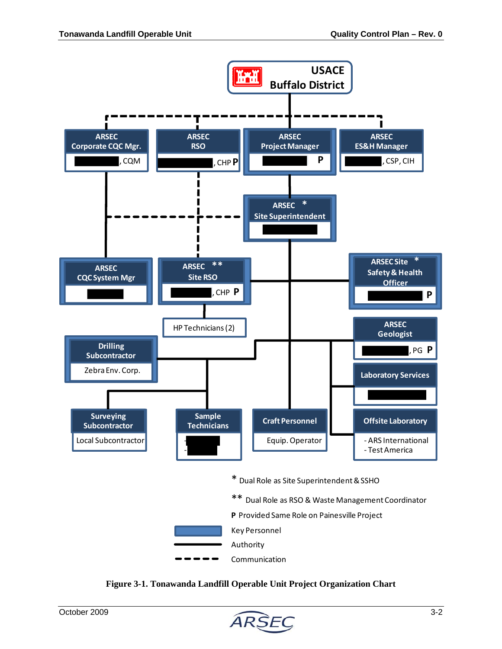



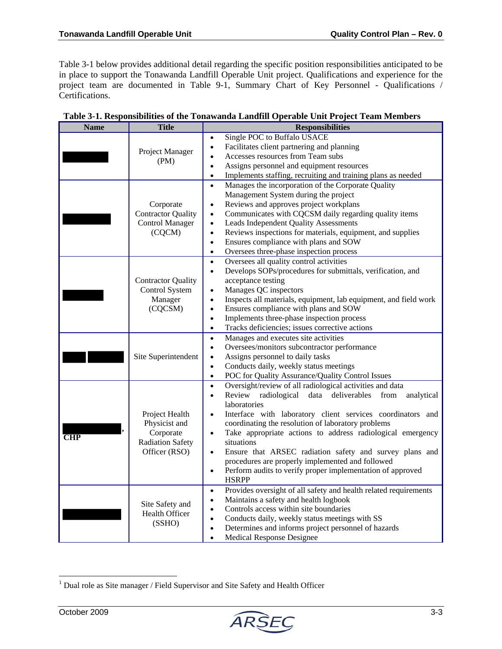Table 3-1 below provides additional detail regarding the specific position responsibilities anticipated to be in place to support the Tonawanda Landfill Operable Unit project. Qualifications and experience for the project team are documented in Table 9-1, Summary Chart of Key Personnel - Qualifications / Certifications.

| <b>Name</b> | <b>Title</b>                                                                             | <b>Responsibilities</b>                                                                                                                                                                                                                                                                                                                                                                                                                                                                                                                                                                               |
|-------------|------------------------------------------------------------------------------------------|-------------------------------------------------------------------------------------------------------------------------------------------------------------------------------------------------------------------------------------------------------------------------------------------------------------------------------------------------------------------------------------------------------------------------------------------------------------------------------------------------------------------------------------------------------------------------------------------------------|
|             | Project Manager<br>(PM)                                                                  | Single POC to Buffalo USACE<br>Facilitates client partnering and planning<br>$\bullet$<br>Accesses resources from Team subs<br>$\bullet$<br>Assigns personnel and equipment resources<br>$\bullet$<br>Implements staffing, recruiting and training plans as needed<br>$\bullet$                                                                                                                                                                                                                                                                                                                       |
|             | Corporate<br><b>Contractor Quality</b><br><b>Control Manager</b><br>(CQCM)               | Manages the incorporation of the Corporate Quality<br>$\bullet$<br>Management System during the project<br>Reviews and approves project workplans<br>$\bullet$<br>Communicates with CQCSM daily regarding quality items<br>$\bullet$<br>Leads Independent Quality Assessments<br>$\bullet$<br>Reviews inspections for materials, equipment, and supplies<br>$\bullet$<br>Ensures compliance with plans and SOW<br>$\bullet$<br>Oversees three-phase inspection process<br>$\bullet$                                                                                                                   |
|             | <b>Contractor Quality</b><br>Control System<br>Manager<br>(CQCSM)                        | Oversees all quality control activities<br>$\bullet$<br>Develops SOPs/procedures for submittals, verification, and<br>$\bullet$<br>acceptance testing<br>Manages QC inspectors<br>$\bullet$<br>Inspects all materials, equipment, lab equipment, and field work<br>$\bullet$<br>Ensures compliance with plans and SOW<br>$\bullet$<br>Implements three-phase inspection process<br>$\bullet$<br>Tracks deficiencies; issues corrective actions<br>$\bullet$                                                                                                                                           |
|             | Site Superintendent                                                                      | Manages and executes site activities<br>$\bullet$<br>Oversees/monitors subcontractor performance<br>$\bullet$<br>Assigns personnel to daily tasks<br>$\bullet$<br>Conducts daily, weekly status meetings<br>$\bullet$<br>POC for Quality Assurance/Quality Control Issues<br>$\bullet$                                                                                                                                                                                                                                                                                                                |
| <b>CHP</b>  | Project Health<br>Physicist and<br>Corporate<br><b>Radiation Safety</b><br>Officer (RSO) | Oversight/review of all radiological activities and data<br>$\bullet$<br>Review radiological data deliverables<br>from<br>analytical<br>$\bullet$<br>laboratories<br>Interface with laboratory client services coordinators and<br>$\bullet$<br>coordinating the resolution of laboratory problems<br>Take appropriate actions to address radiological emergency<br>$\bullet$<br>situations<br>Ensure that ARSEC radiation safety and survey plans and<br>procedures are properly implemented and followed<br>Perform audits to verify proper implementation of approved<br>$\bullet$<br><b>HSRPP</b> |
|             | Site Safety and<br>Health Officer<br>(SSHO)                                              | Provides oversight of all safety and health related requirements<br>$\bullet$<br>Maintains a safety and health logbook<br>$\bullet$<br>Controls access within site boundaries<br>$\bullet$<br>Conducts daily, weekly status meetings with SS<br>$\bullet$<br>Determines and informs project personnel of hazards<br>$\bullet$<br><b>Medical Response Designee</b>                                                                                                                                                                                                                                     |

| Table 3-1. Responsibilities of the Tonawanda Landfill Operable Unit Project Team Members |
|------------------------------------------------------------------------------------------|
|------------------------------------------------------------------------------------------|

 $\overline{a}$ 



 $1$  Dual role as Site manager / Field Supervisor and Site Safety and Health Officer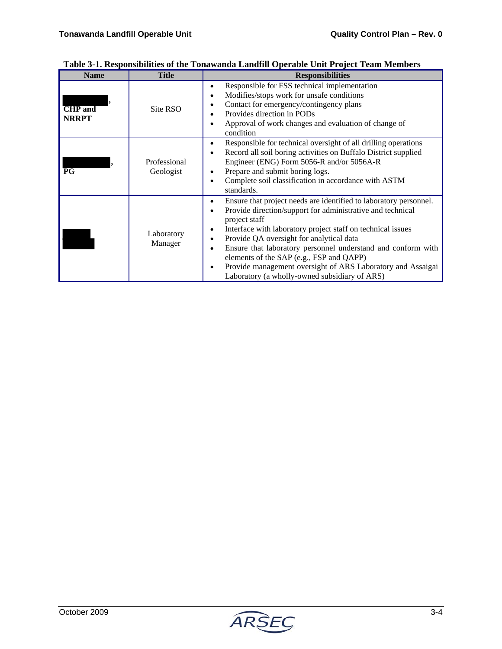| <b>Name</b>                    | <b>Title</b>              | <b>Responsibilities</b>                                                                                                                                                                                                                                                                                                                                                                                                                                                                                |
|--------------------------------|---------------------------|--------------------------------------------------------------------------------------------------------------------------------------------------------------------------------------------------------------------------------------------------------------------------------------------------------------------------------------------------------------------------------------------------------------------------------------------------------------------------------------------------------|
| <b>CHP</b> and<br><b>NRRPT</b> | Site RSO                  | Responsible for FSS technical implementation<br>Modifies/stops work for unsafe conditions<br>Contact for emergency/contingency plans<br>Provides direction in PODs<br>Approval of work changes and evaluation of change of<br>condition                                                                                                                                                                                                                                                                |
| $\overline{PG}$                | Professional<br>Geologist | Responsible for technical oversight of all drilling operations<br>Record all soil boring activities on Buffalo District supplied<br>Engineer (ENG) Form 5056-R and/or 5056A-R<br>Prepare and submit boring logs.<br>Complete soil classification in accordance with ASTM<br>standards.                                                                                                                                                                                                                 |
|                                | Laboratory<br>Manager     | Ensure that project needs are identified to laboratory personnel.<br>٠<br>Provide direction/support for administrative and technical<br>project staff<br>Interface with laboratory project staff on technical issues<br>٠<br>Provide QA oversight for analytical data<br>Ensure that laboratory personnel understand and conform with<br>elements of the SAP (e.g., FSP and QAPP)<br>Provide management oversight of ARS Laboratory and Assaigai<br>٠<br>Laboratory (a wholly-owned subsidiary of ARS) |

#### **Table 3-1. Responsibilities of the Tonawanda Landfill Operable Unit Project Team Members**

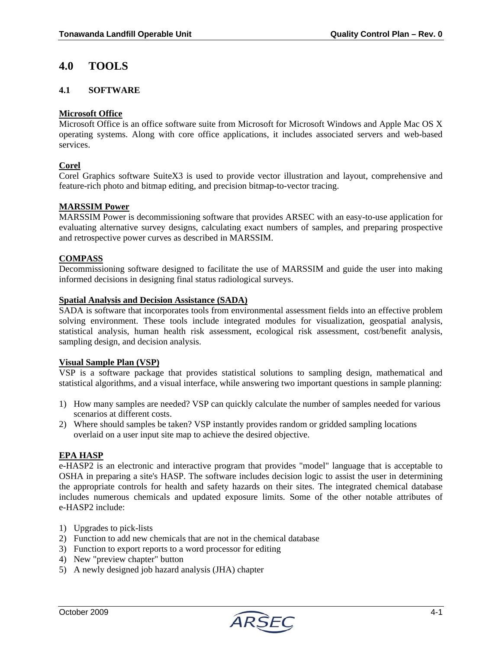### **4.0 TOOLS**

#### **4.1 SOFTWARE**

#### **Microsoft Office**

Microsoft Office is an office software suite from Microsoft for Microsoft Windows and Apple Mac OS X operating systems. Along with core office applications, it includes associated servers and web-based services.

#### **Corel**

Corel Graphics software SuiteX3 is used to provide vector illustration and layout, comprehensive and feature-rich photo and bitmap editing, and precision bitmap-to-vector tracing.

#### **MARSSIM Power**

MARSSIM Power is decommissioning software that provides ARSEC with an easy-to-use application for evaluating alternative survey designs, calculating exact numbers of samples, and preparing prospective and retrospective power curves as described in MARSSIM.

#### **COMPASS**

Decommissioning software designed to facilitate the use of MARSSIM and guide the user into making informed decisions in designing final status radiological surveys.

#### **Spatial Analysis and Decision Assistance (SADA)**

SADA is software that incorporates tools from environmental assessment fields into an effective problem solving environment. These tools include integrated modules for visualization, geospatial analysis, statistical analysis, human health risk assessment, ecological risk assessment, cost/benefit analysis, sampling design, and decision analysis.

#### **Visual Sample Plan (VSP)**

VSP is a software package that provides statistical solutions to sampling design, mathematical and statistical algorithms, and a visual interface, while answering two important questions in sample planning:

- 1) How many samples are needed? VSP can quickly calculate the number of samples needed for various scenarios at different costs.
- 2) Where should samples be taken? VSP instantly provides random or gridded sampling locations overlaid on a user input site map to achieve the desired objective.

#### **EPA HASP**

e-HASP2 is an electronic and interactive program that provides "model" language that is acceptable to OSHA in preparing a site's HASP. The software includes decision logic to assist the user in determining the appropriate controls for health and safety hazards on their sites. The integrated chemical database includes numerous chemicals and updated exposure limits. Some of the other notable attributes of e-HASP2 include:

- 1) Upgrades to pick-lists
- 2) Function to add new chemicals that are not in the chemical database
- 3) Function to export reports to a word processor for editing
- 4) New "preview chapter" button
- 5) A newly designed job hazard analysis (JHA) chapter

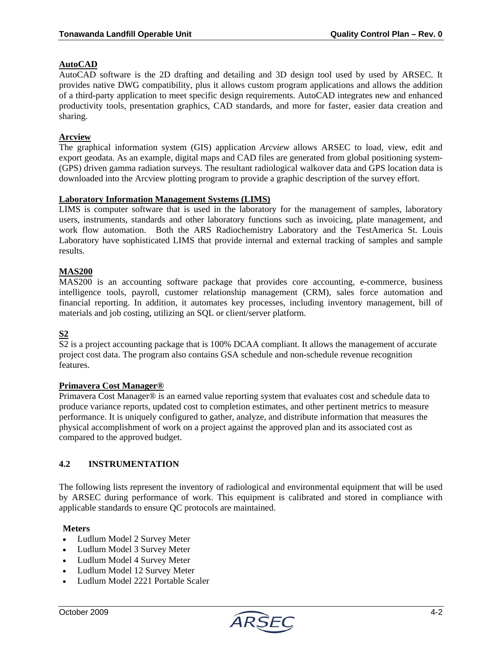#### **AutoCAD**

AutoCAD software is the 2D drafting and detailing and 3D design tool used by used by ARSEC. It provides native DWG compatibility, plus it allows custom program applications and allows the addition of a third-party application to meet specific design requirements. AutoCAD integrates new and enhanced productivity tools, presentation graphics, CAD standards, and more for faster, easier data creation and sharing.

#### **Arcview**

The graphical information system (GIS) application *Arcview* allows ARSEC to load, view, edit and export geodata. As an example, digital maps and CAD files are generated from global positioning system- (GPS) driven gamma radiation surveys. The resultant radiological walkover data and GPS location data is downloaded into the Arcview plotting program to provide a graphic description of the survey effort.

#### **Laboratory Information Management Systems (LIMS)**

LIMS is computer software that is used in the laboratory for the management of samples, laboratory users, instruments, standards and other laboratory functions such as invoicing, plate management, and work flow automation. Both the ARS Radiochemistry Laboratory and the TestAmerica St. Louis Laboratory have sophisticated LIMS that provide internal and external tracking of samples and sample results.

#### **MAS200**

MAS200 is an accounting software package that provides core accounting, e-commerce, business intelligence tools, payroll, customer relationship management (CRM), sales force automation and financial reporting. In addition, it automates key processes, including inventory management, bill of materials and job costing, utilizing an SQL or client/server platform.

#### **S2**

S2 is a project accounting package that is 100% DCAA compliant. It allows the management of accurate project cost data. The program also contains GSA schedule and non-schedule revenue recognition features.

#### **Primavera Cost Manager®**

Primavera Cost Manager® is an earned value reporting system that evaluates cost and schedule data to produce variance reports, updated cost to completion estimates, and other pertinent metrics to measure performance. It is uniquely configured to gather, analyze, and distribute information that measures the physical accomplishment of work on a project against the approved plan and its associated cost as compared to the approved budget.

#### **4.2 INSTRUMENTATION**

The following lists represent the inventory of radiological and environmental equipment that will be used by ARSEC during performance of work. This equipment is calibrated and stored in compliance with applicable standards to ensure QC protocols are maintained.

#### **Meters**

- Ludlum Model 2 Survey Meter
- Ludlum Model 3 Survey Meter
- Ludlum Model 4 Survey Meter
- Ludlum Model 12 Survey Meter
- Ludlum Model 2221 Portable Scaler

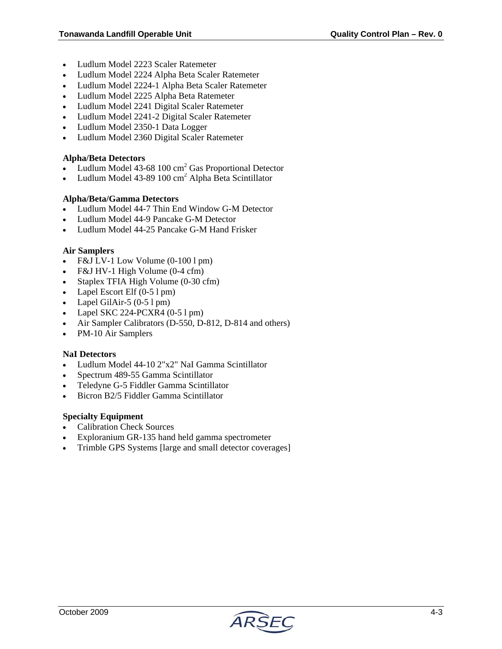- Ludlum Model 2223 Scaler Ratemeter
- Ludlum Model 2224 Alpha Beta Scaler Ratemeter
- Ludlum Model 2224-1 Alpha Beta Scaler Ratemeter
- Ludlum Model 2225 Alpha Beta Ratemeter
- Ludlum Model 2241 Digital Scaler Ratemeter
- Ludlum Model 2241-2 Digital Scaler Ratemeter
- Ludlum Model 2350-1 Data Logger
- Ludlum Model 2360 Digital Scaler Ratemeter

#### **Alpha/Beta Detectors**

- Ludlum Model  $43-68$  100 cm<sup>2</sup> Gas Proportional Detector
- Ludlum Model 43-89 100 cm<sup>2</sup> Alpha Beta Scintillator

#### **Alpha/Beta/Gamma Detectors**

- Ludlum Model 44-7 Thin End Window G-M Detector
- Ludlum Model 44-9 Pancake G-M Detector
- Ludlum Model 44-25 Pancake G-M Hand Frisker

#### **Air Samplers**

- F&J LV-1 Low Volume (0-100 l pm)
- F&J HV-1 High Volume (0-4 cfm)
- Staplex TFIA High Volume (0-30 cfm)
- Lapel Escort Elf (0-5 l pm)
- Lapel GilAir-5  $(0-51 \text{ pm})$
- Lapel SKC 224-PCXR4  $(0-51$  pm)
- Air Sampler Calibrators (D-550, D-812, D-814 and others)
- PM-10 Air Samplers

#### **NaI Detectors**

- Ludlum Model 44-10 2"x2" NaI Gamma Scintillator
- Spectrum 489-55 Gamma Scintillator
- Teledyne G-5 Fiddler Gamma Scintillator
- Bicron B2/5 Fiddler Gamma Scintillator

#### **Specialty Equipment**

- Calibration Check Sources
- Exploranium GR-135 hand held gamma spectrometer
- Trimble GPS Systems [large and small detector coverages]

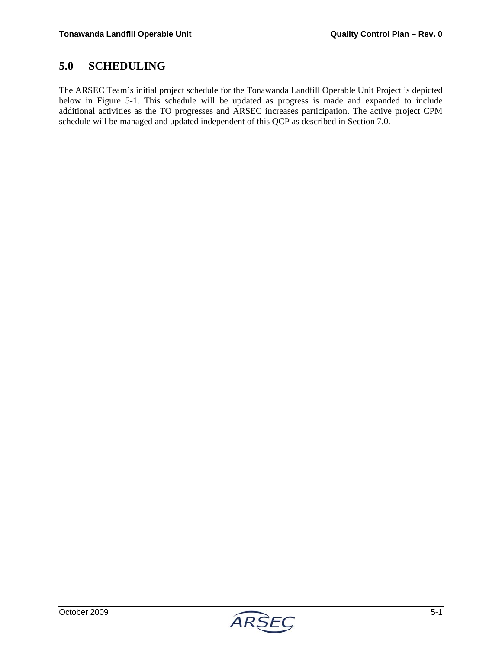## **5.0 SCHEDULING**

The ARSEC Team's initial project schedule for the Tonawanda Landfill Operable Unit Project is depicted below in Figure 5-1. This schedule will be updated as progress is made and expanded to include additional activities as the TO progresses and ARSEC increases participation. The active project CPM schedule will be managed and updated independent of this QCP as described in Section 7.0.

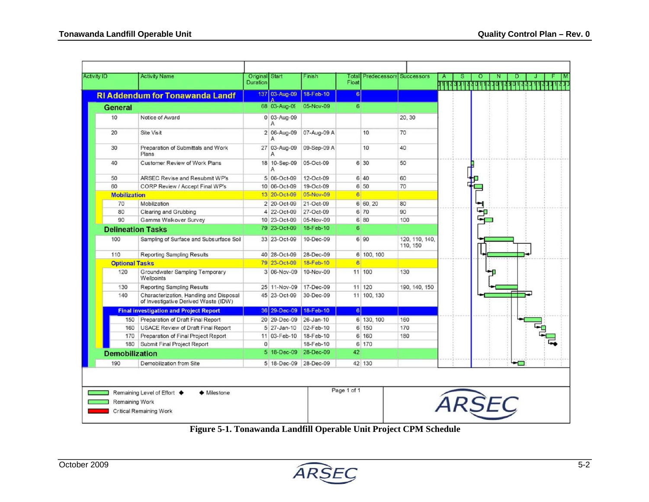|                       | <b>Activity Name</b>                                                            | Original Start<br><b>Duration</b> |                          | Finish          | Total<br>Float | <b>Predecessors Successors</b> |                            | s |    |  |  |
|-----------------------|---------------------------------------------------------------------------------|-----------------------------------|--------------------------|-----------------|----------------|--------------------------------|----------------------------|---|----|--|--|
|                       | <b>RI Addendum for Tonawanda Landf</b>                                          |                                   | 137 03-Aug-09            | 18-Feb-10       | $6 \mid$       |                                |                            |   |    |  |  |
| <b>General</b>        |                                                                                 |                                   | $\Delta$<br>68 03-Aug-09 | 05-Nov-09       | 6              |                                |                            |   |    |  |  |
| 10                    | Notice of Award                                                                 |                                   | 0 03-Aug-09<br>A         |                 |                |                                | 20, 30                     |   |    |  |  |
| 20                    | Site Visit                                                                      |                                   | 2 06-Aug-09<br>A         | 07-Aug-09 A     |                | 10                             | 70                         |   |    |  |  |
| 30                    | Preparation of Submittals and Work<br>Plans                                     |                                   | 27 03-Aug-09             | 09-Sep-09 A     |                | 10                             | 40                         |   |    |  |  |
| 40                    | <b>Customer Review of Work Plans</b>                                            |                                   | 18 10-Sep-09<br>Α        | 05-Oct-09       |                | 6 30                           | 50                         |   |    |  |  |
| 50                    | ARSEC Revise and Resubmit WP's                                                  |                                   | 5 06-Oct-09              | 12-Oct-09       |                | 640                            | 60                         |   |    |  |  |
| 60                    | CORP Review / Accept Final WP's                                                 |                                   | 10 06-Oct-09             | 19-Oct-09       |                | 6 50                           | 70                         |   |    |  |  |
| <b>Mobilization</b>   |                                                                                 |                                   | 13 20-Oct-09             | 05-Nov-09       | 6              |                                |                            |   |    |  |  |
| 70                    | Mobilization                                                                    |                                   | 2 20-Oct-09              | 21-Oct-09       |                | 6 60.20                        | 80                         |   |    |  |  |
| 80                    | Clearing and Grubbing                                                           |                                   | 4 22-Oct-09              | 27-Oct-09       |                | 6 70                           | 90                         |   | Sp |  |  |
| 90                    | Gamma Walkover Survey                                                           |                                   | 10 23-Oct-09             | 05-Nov-09       |                | 6 80                           | 100                        |   |    |  |  |
|                       | <b>Delineation Tasks</b>                                                        |                                   | 79 23-Oct-09             | 18-Feb-10       | 6 <sup>1</sup> |                                |                            |   |    |  |  |
| 100                   | Sampling of Surface and Subsurface Soil                                         |                                   | 33 23-Oct-09             | 10-Dec-09       |                | 6 90                           | 120, 110, 140,<br>110, 150 |   |    |  |  |
| 110                   | <b>Reporting Sampling Results</b>                                               |                                   | 40 28-Oct-09             | 28-Dec-09       |                | 6 100, 100                     |                            |   |    |  |  |
| <b>Optional Tasks</b> |                                                                                 |                                   | 79 23-Oct-09             | 18-Feb-10       | 6              |                                |                            |   |    |  |  |
| 120                   | Groundwater Sampling Temporary<br>Wellpoints                                    |                                   | 3 06-Nov-09              | 10-Nov-09       |                | 11 100                         | 130                        |   |    |  |  |
| 130                   | Reporting Sampling Results                                                      |                                   | 25 11-Nov-09             | 17-Dec-09       |                | 11 120                         | 190, 140, 150              |   |    |  |  |
| 140                   | Characterization, Handling and Disposal<br>of Investigative Derived Waste (IDW) |                                   | 45 23-Oct-09             | 30-Dec-09       |                | 11 100, 130                    |                            |   |    |  |  |
|                       | <b>Final investigation and Project Report</b>                                   |                                   | 36 29-Dec-09             | 18-Feb-10       | 6              |                                |                            |   |    |  |  |
|                       | 150 Preparation of Draft Final Report                                           |                                   | 20 29-Dec-09             | $26 - Jan - 10$ |                | 6 130, 100                     | 160                        |   |    |  |  |
| 160                   | USACE Review of Draft Final Report                                              |                                   | 5 27-Jan-10              | 02-Feb-10       |                | 6 150                          | 170                        |   |    |  |  |
| 170                   | Preparation of Final Project Report                                             |                                   | 11 03-Feb-10             | 18-Feb-10       |                | 6 160                          | 180                        |   |    |  |  |
|                       | Submit Final Project Report                                                     | $\mathbf{0}$                      |                          | 18-Feb-10       |                | 6 170                          |                            |   |    |  |  |
| 180                   |                                                                                 |                                   | 5 18-Dec-09              | 28-Dec-09       | 42             |                                |                            |   |    |  |  |
| <b>Demobilization</b> |                                                                                 |                                   |                          |                 |                |                                |                            |   |    |  |  |

**Figure 5-1. Tonawanda Landfill Operable Unit Project CPM Schedule**

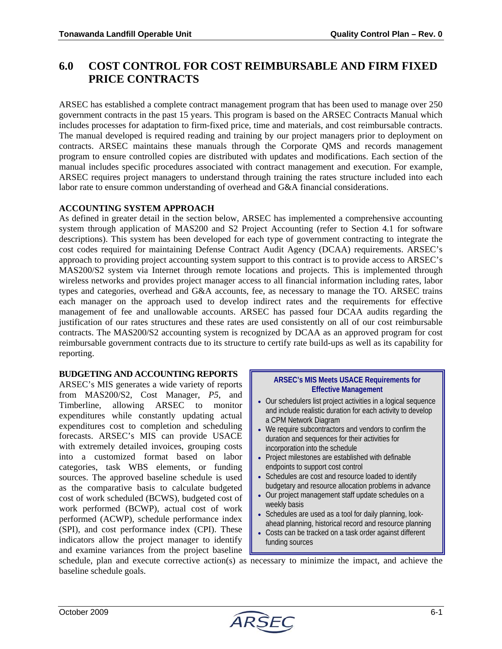# **6.0 COST CONTROL FOR COST REIMBURSABLE AND FIRM FIXED PRICE CONTRACTS**

ARSEC has established a complete contract management program that has been used to manage over 250 government contracts in the past 15 years. This program is based on the ARSEC Contracts Manual which includes processes for adaptation to firm-fixed price, time and materials, and cost reimbursable contracts. The manual developed is required reading and training by our project managers prior to deployment on contracts. ARSEC maintains these manuals through the Corporate QMS and records management program to ensure controlled copies are distributed with updates and modifications. Each section of the manual includes specific procedures associated with contract management and execution. For example, ARSEC requires project managers to understand through training the rates structure included into each labor rate to ensure common understanding of overhead and G&A financial considerations.

#### **ACCOUNTING SYSTEM APPROACH**

As defined in greater detail in the section below, ARSEC has implemented a comprehensive accounting system through application of MAS200 and S2 Project Accounting (refer to Section 4.1 for software descriptions). This system has been developed for each type of government contracting to integrate the cost codes required for maintaining Defense Contract Audit Agency (DCAA) requirements. ARSEC's approach to providing project accounting system support to this contract is to provide access to ARSEC's MAS200/S2 system via Internet through remote locations and projects. This is implemented through wireless networks and provides project manager access to all financial information including rates, labor types and categories, overhead and G&A accounts, fee, as necessary to manage the TO. ARSEC trains each manager on the approach used to develop indirect rates and the requirements for effective management of fee and unallowable accounts. ARSEC has passed four DCAA audits regarding the justification of our rates structures and these rates are used consistently on all of our cost reimbursable contracts. The MAS200/S2 accounting system is recognized by DCAA as an approved program for cost reimbursable government contracts due to its structure to certify rate build-ups as well as its capability for reporting.

#### **BUDGETING AND ACCOUNTING REPORTS**

ARSEC's MIS generates a wide variety of reports from MAS200/S2, Cost Manager, *P5*, and Timberline, allowing ARSEC to monitor expenditures while constantly updating actual expenditures cost to completion and scheduling forecasts. ARSEC's MIS can provide USACE with extremely detailed invoices, grouping costs into a customized format based on labor categories, task WBS elements, or funding sources. The approved baseline schedule is used as the comparative basis to calculate budgeted cost of work scheduled (BCWS), budgeted cost of work performed (BCWP), actual cost of work performed (ACWP), schedule performance index (SPI), and cost performance index (CPI). These indicators allow the project manager to identify and examine variances from the project baseline

#### **ARSEC's MIS Meets USACE Requirements for Effective Management**

- Our schedulers list project activities in a logical sequence and include realistic duration for each activity to develop a CPM Network Diagram
- We require subcontractors and vendors to confirm the duration and sequences for their activities for incorporation into the schedule
- Project milestones are established with definable endpoints to support cost control
- Schedules are cost and resource loaded to identify budgetary and resource allocation problems in advance
- Our project management staff update schedules on a weekly basis
- Schedules are used as a tool for daily planning, lookahead planning, historical record and resource planning
- Costs can be tracked on a task order against different funding sources

schedule, plan and execute corrective action(s) as necessary to minimize the impact, and achieve the baseline schedule goals.

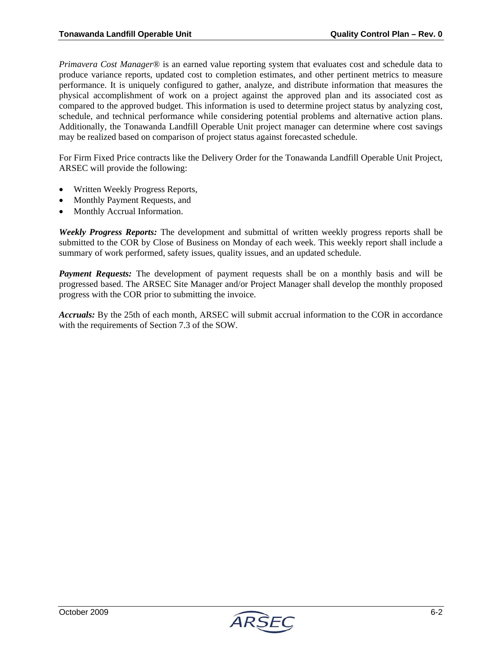*Primavera Cost Manager*® is an earned value reporting system that evaluates cost and schedule data to produce variance reports, updated cost to completion estimates, and other pertinent metrics to measure performance. It is uniquely configured to gather, analyze, and distribute information that measures the physical accomplishment of work on a project against the approved plan and its associated cost as compared to the approved budget. This information is used to determine project status by analyzing cost, schedule, and technical performance while considering potential problems and alternative action plans. Additionally, the Tonawanda Landfill Operable Unit project manager can determine where cost savings may be realized based on comparison of project status against forecasted schedule.

For Firm Fixed Price contracts like the Delivery Order for the Tonawanda Landfill Operable Unit Project, ARSEC will provide the following:

- Written Weekly Progress Reports,
- Monthly Payment Requests, and
- Monthly Accrual Information.

*Weekly Progress Reports:* The development and submittal of written weekly progress reports shall be submitted to the COR by Close of Business on Monday of each week. This weekly report shall include a summary of work performed, safety issues, quality issues, and an updated schedule.

**Payment Requests:** The development of payment requests shall be on a monthly basis and will be progressed based. The ARSEC Site Manager and/or Project Manager shall develop the monthly proposed progress with the COR prior to submitting the invoice.

*Accruals:* By the 25th of each month, ARSEC will submit accrual information to the COR in accordance with the requirements of Section 7.3 of the SOW.

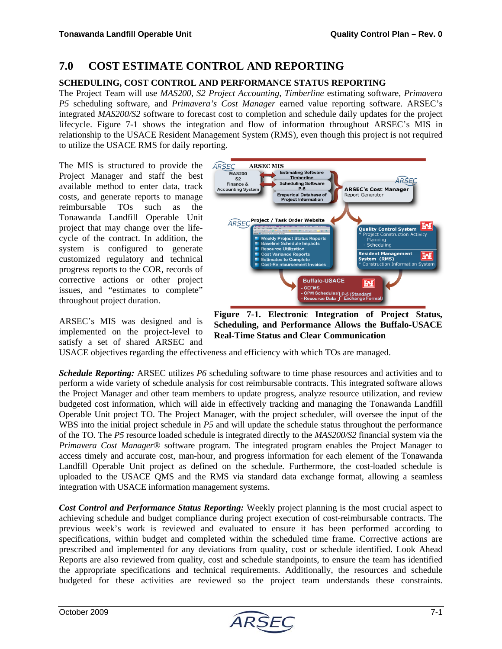### **7.0 COST ESTIMATE CONTROL AND REPORTING**

#### **SCHEDULING, COST CONTROL AND PERFORMANCE STATUS REPORTING**

The Project Team will use *MAS200, S2 Project Accounting, Timberline* estimating software, *Primavera P5* scheduling software, and *Primavera's Cost Manager* earned value reporting software. ARSEC's integrated *MAS200/S2* software to forecast cost to completion and schedule daily updates for the project lifecycle. Figure 7-1 shows the integration and flow of information throughout ARSEC's MIS in relationship to the USACE Resident Management System (RMS), even though this project is not required to utilize the USACE RMS for daily reporting.

The MIS is structured to provide the Project Manager and staff the best available method to enter data, track costs, and generate reports to manage reimbursable TOs such as the Tonawanda Landfill Operable Unit project that may change over the lifecycle of the contract. In addition, the system is configured to generate customized regulatory and technical progress reports to the COR, records of corrective actions or other project issues, and "estimates to complete" throughout project duration.

ARSEC's MIS was designed and is implemented on the project-level to satisfy a set of shared ARSEC and



**Figure 7-1. Electronic Integration of Project Status, Scheduling, and Performance Allows the Buffalo-USACE Real-Time Status and Clear Communication** 

USACE objectives regarding the effectiveness and efficiency with which TOs are managed.

*Schedule Reporting:* ARSEC utilizes *P6* scheduling software to time phase resources and activities and to perform a wide variety of schedule analysis for cost reimbursable contracts. This integrated software allows the Project Manager and other team members to update progress, analyze resource utilization, and review budgeted cost information, which will aide in effectively tracking and managing the Tonawanda Landfill Operable Unit project TO. The Project Manager, with the project scheduler, will oversee the input of the WBS into the initial project schedule in *P5* and will update the schedule status throughout the performance of the TO*.* The *P5* resource loaded schedule is integrated directly to the *MAS200/S2* financial system via the *Primavera Cost Manager*® software program. The integrated program enables the Project Manager to access timely and accurate cost, man-hour, and progress information for each element of the Tonawanda Landfill Operable Unit project as defined on the schedule. Furthermore, the cost-loaded schedule is uploaded to the USACE QMS and the RMS via standard data exchange format, allowing a seamless integration with USACE information management systems.

*Cost Control and Performance Status Reporting:* Weekly project planning is the most crucial aspect to achieving schedule and budget compliance during project execution of cost-reimbursable contracts. The previous week's work is reviewed and evaluated to ensure it has been performed according to specifications, within budget and completed within the scheduled time frame. Corrective actions are prescribed and implemented for any deviations from quality, cost or schedule identified. Look Ahead Reports are also reviewed from quality, cost and schedule standpoints, to ensure the team has identified the appropriate specifications and technical requirements. Additionally, the resources and schedule budgeted for these activities are reviewed so the project team understands these constraints.

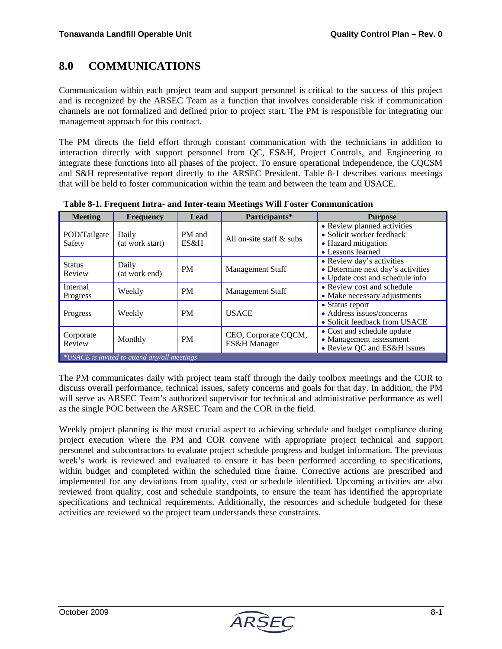# **8.0 COMMUNICATIONS**

Communication within each project team and support personnel is critical to the success of this project and is recognized by the ARSEC Team as a function that involves considerable risk if communication channels are not formalized and defined prior to project start. The PM is responsible for integrating our management approach for this contract.

The PM directs the field effort through constant communication with the technicians in addition to interaction directly with support personnel from QC, ES&H, Project Controls, and Engineering to integrate these functions into all phases of the project. To ensure operational independence, the CQCSM and S&H representative report directly to the ARSEC President. Table 8-1 describes various meetings that will be held to foster communication within the team and between the team and USACE.

| <b>Meeting</b>          | <b>Frequency</b>                               | Lead           | Participants*                        | <b>Purpose</b>                                                                                       |  |  |  |  |
|-------------------------|------------------------------------------------|----------------|--------------------------------------|------------------------------------------------------------------------------------------------------|--|--|--|--|
| POD/Tailgate<br>Safety  | Daily<br>(at work start)                       | PM and<br>ES&H | All on-site staff $\&$ subs          | • Review planned activities<br>• Solicit worker feedback<br>• Hazard mitigation<br>• Lessons learned |  |  |  |  |
| <b>Status</b><br>Review | Daily<br>(at work end)                         | <b>PM</b>      | Management Staff                     | • Review day's activities<br>• Determine next day's activities<br>• Update cost and schedule info    |  |  |  |  |
| Internal<br>Progress    | Weekly                                         | <b>PM</b>      | Management Staff                     | • Review cost and schedule<br>• Make necessary adjustments                                           |  |  |  |  |
| Progress                | Weekly                                         | <b>PM</b>      | <b>USACE</b>                         | • Status report<br>• Address issues/concerns<br>• Solicit feedback from USACE                        |  |  |  |  |
| Corporate<br>Review     | Monthly                                        | <b>PM</b>      | CEO, Corporate CQCM,<br>ES&H Manager | • Cost and schedule update<br>• Management assessment<br>• Review QC and ES&H issues                 |  |  |  |  |
|                         | $*USACE$ is invited to attend any/all meetings |                |                                      |                                                                                                      |  |  |  |  |

**Table 8-1. Frequent Intra- and Inter-team Meetings Will Foster Communication** 

The PM communicates daily with project team staff through the daily toolbox meetings and the COR to discuss overall performance, technical issues, safety concerns and goals for that day. In addition, the PM will serve as ARSEC Team's authorized supervisor for technical and administrative performance as well as the single POC between the ARSEC Team and the COR in the field.

Weekly project planning is the most crucial aspect to achieving schedule and budget compliance during project execution where the PM and COR convene with appropriate project technical and support personnel and subcontractors to evaluate project schedule progress and budget information. The previous week's work is reviewed and evaluated to ensure it has been performed according to specifications, within budget and completed within the scheduled time frame. Corrective actions are prescribed and implemented for any deviations from quality, cost or schedule identified. Upcoming activities are also reviewed from quality, cost and schedule standpoints, to ensure the team has identified the appropriate specifications and technical requirements. Additionally, the resources and schedule budgeted for these activities are reviewed so the project team understands these constraints.

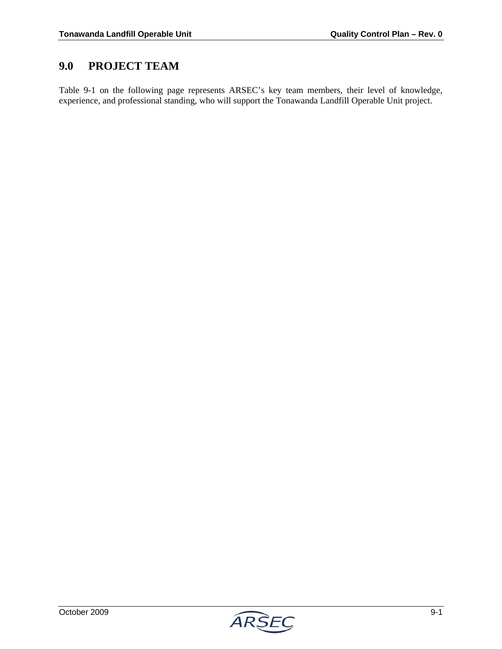## **9.0 PROJECT TEAM**

Table 9-1 on the following page represents ARSEC's key team members, their level of knowledge, experience, and professional standing, who will support the Tonawanda Landfill Operable Unit project.

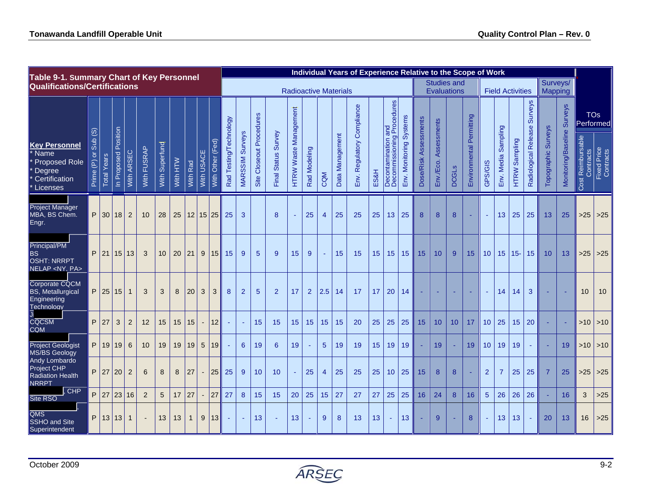| Table 9-1. Summary Chart of Key Personnel                                                         |                                                                                                               |                    |                         |                |                       |                   |             |              |                          |                      |                              |                                  |                                    |                            |                                 |                |                |                 | Individual Years of Experience Relative to the Scope of Work |      |                                                   |                         |                       |                                   |              |                             |                  |                           |                         |                                        |                                      |                                       |                                                                  |                         |
|---------------------------------------------------------------------------------------------------|---------------------------------------------------------------------------------------------------------------|--------------------|-------------------------|----------------|-----------------------|-------------------|-------------|--------------|--------------------------|----------------------|------------------------------|----------------------------------|------------------------------------|----------------------------|---------------------------------|----------------|----------------|-----------------|--------------------------------------------------------------|------|---------------------------------------------------|-------------------------|-----------------------|-----------------------------------|--------------|-----------------------------|------------------|---------------------------|-------------------------|----------------------------------------|--------------------------------------|---------------------------------------|------------------------------------------------------------------|-------------------------|
| <b>Qualifications/Certifications</b>                                                              |                                                                                                               |                    |                         |                |                       |                   |             |              |                          |                      | <b>Radioactive Materials</b> |                                  |                                    |                            |                                 |                |                |                 |                                                              |      |                                                   |                         |                       | <b>Studies and</b><br>Evaluations |              | <b>Field Activities</b>     |                  |                           |                         | Surveys/<br>Mapping                    |                                      |                                       |                                                                  |                         |
| <b>Key Personnel</b><br><sup>*</sup> Name<br>Proposed Role<br>Degree<br>Certification<br>Licenses | $\widehat{\textcircled{\small{0}}}$<br>Sub<br>$\overleftarrow{\mathrm{o}}$<br>$\widehat{\mathbb{E}}$<br>Prime | <b>Total Years</b> | Position<br>In Proposed | ARSEC<br>With. | <b>FUSRAP</b><br>With | Superfund<br>With | NLH<br>With | Rad<br>With  | With USACE               | ed)<br>Other<br>With | Rad Testing/Technology       | <b>Surveys</b><br><b>MARSSIM</b> | <b>Closeout Procedures</b><br>Site | Survey<br>Status:<br>Final | Management<br><b>HTRW Waste</b> | Rad Modeling   | CQM            | Data Management | Regulatory Compliance<br>Εnν.                                | ES&H | Decontamination and<br>Decommissioning Procedures | Env. Monitoring Systems | Dose/Risk Assessments | Assessments<br>Env./Eco.          | <b>DCGLS</b> | Permitting<br>Environmental | GPS/GIS          | Sampling<br>Media<br>Env. | Sampling<br><b>HTRW</b> | <b>Surveys</b><br>Radiological Release | <b>Surveys</b><br><b>Topographic</b> | <b>Surveys</b><br>Monitoring/Baseline | st Reimbursable<br>Contracts<br>Fixed Price<br>Contracts<br>Cost | <b>TOs</b><br>Performed |
| Project Manager<br>MBA, BS Chem.<br>Engr.                                                         | P                                                                                                             | 30                 | 18                      | 2              | 10                    | 28                | 25          | 12           | 15 25                    |                      | 25                           | 3                                |                                    | 8                          |                                 | 25             | $\overline{4}$ | 25              | 25                                                           | 25   | 13                                                | 25                      | 8                     | 8                                 | 8            |                             | $\sim$           | 13                        | 25                      | 25                                     | 13                                   | 25                                    |                                                                  | $>25$ > 25              |
| Principal/PM<br><b>BS</b><br><b>OSHT: NRRPT</b><br>NELAP <ny, pa=""></ny,>                        | P                                                                                                             | 21                 | 15 13                   |                | 3                     | 10                | 20          | 21           |                          | 9 15                 | 15                           | 9                                | 5                                  | $\overline{9}$             | 15                              | 9              |                | 15              | 15                                                           | 15   | 15                                                | 15                      | 15                    | 10                                | 9            | 15                          | 10               | 15                        | $15 -$                  | 15                                     | 10                                   | 13                                    | $>25$                                                            | $\mid$ >25              |
| Corporate CQCM<br><b>BS, Metallurgical</b><br>Engineering<br>Technology                           | P                                                                                                             | 25                 | 15                      | $\mathbf{1}$   | 3                     | 3                 | 8           | 20           | 3                        | 3                    | 8                            | $\overline{2}$                   | 5                                  | $\overline{2}$             | 17                              | $\overline{2}$ | 2.5            | 14              | 17                                                           | 17   | 20                                                | 14                      |                       |                                   |              |                             |                  | 14                        | 14                      | 3                                      |                                      |                                       | 10                                                               | 10                      |
| $\overline{\phantom{a}}$<br>CQCSM<br><b>CQM</b>                                                   | P                                                                                                             | 27                 | 3                       | $\overline{2}$ | 12                    | 15                | 15          | 15           | $\blacksquare$           | 12                   |                              |                                  | 15                                 | 15                         | 15                              | 15             | 15             | 15              | 20                                                           | 25   | 25                                                | 25                      | 15                    | 10                                | 10           | 17                          | 10 <sup>10</sup> | 25                        | 15                      | 20                                     |                                      |                                       |                                                                  | $>10$   $>10$           |
| <b>Project Geologist</b><br><b>MS/BS Geology</b>                                                  | P                                                                                                             | 19 19              |                         | 6              | 10                    | 19                | 19          | 19           |                          | 5 19                 |                              | 6                                | 19                                 | 6                          | 19                              |                | 5 <sup>5</sup> | 19              | 19                                                           | 15   | 19 <sup>°</sup>                                   | 19                      |                       | 19                                |              | 19                          | 10 <sup>1</sup>  | 19                        | 19                      | $\sim$                                 |                                      | 19                                    |                                                                  | $>10$ > 10              |
| Andy Lombardo<br>Project CHP<br><b>Radiation Health</b><br><b>NRRPT</b>                           | P                                                                                                             | 27                 | 20                      | $\overline{2}$ | 6                     | 8                 | 8           | 27           | $\overline{\phantom{a}}$ | 25                   | 25                           | 9                                | 10                                 | 10                         | ٠                               | 25             | 4              | 25              | 25                                                           | 25   | 10 <sup>°</sup>                                   | 25                      | 15                    | 8                                 | 8            |                             | $\overline{2}$   | $\overline{7}$            | 25                      | 25                                     | $\overline{7}$                       | 25                                    | $>25$                                                            | $>25$                   |
| CHP<br>Site RSO                                                                                   | P                                                                                                             | 27                 | 23                      | 16             | 2                     | 5                 | 17          | 27           | $\blacksquare$           | 27                   | 27                           | 8                                | 15                                 | 15                         | 20                              | 25             | 15             | 27              | 27                                                           | 27   | 25                                                | 25                      | 16                    | 24                                | 8            | 16                          | $\overline{5}$   | 26                        | 26                      | 26                                     |                                      | 16                                    | 3                                                                | $>25$                   |
| QMS<br><b>SSHO and Site</b><br>Superintendent                                                     | P                                                                                                             | 13 13              |                         | $\mathbf{1}$   |                       | 13                | 13          | $\mathbf{1}$ | 9                        | 13                   |                              |                                  | 13                                 |                            | 13                              |                | 9              | 8               | 13                                                           | 13   |                                                   | 13                      |                       | 9                                 |              | 8                           |                  | 13                        | 13                      |                                        | 20                                   | 13                                    | 16                                                               | $>25$                   |

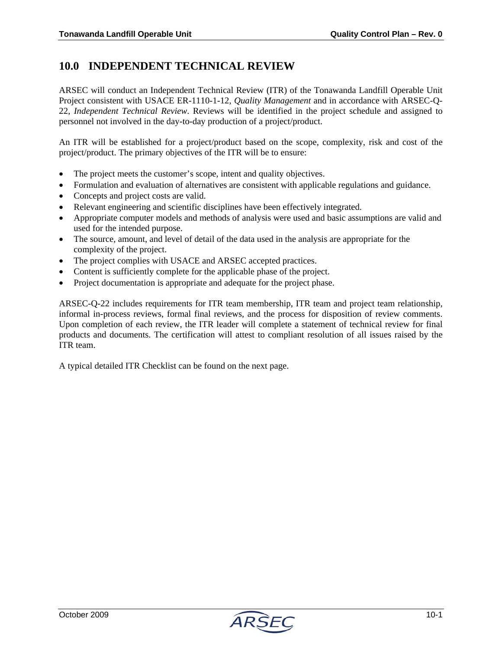### **10.0 INDEPENDENT TECHNICAL REVIEW**

ARSEC will conduct an Independent Technical Review (ITR) of the Tonawanda Landfill Operable Unit Project consistent with USACE ER-1110-1-12, *Quality Management* and in accordance with ARSEC-Q-22, *Independent Technical Review*. Reviews will be identified in the project schedule and assigned to personnel not involved in the day-to-day production of a project/product.

An ITR will be established for a project/product based on the scope, complexity, risk and cost of the project/product. The primary objectives of the ITR will be to ensure:

- The project meets the customer's scope, intent and quality objectives.
- Formulation and evaluation of alternatives are consistent with applicable regulations and guidance.
- Concepts and project costs are valid.
- Relevant engineering and scientific disciplines have been effectively integrated.
- Appropriate computer models and methods of analysis were used and basic assumptions are valid and used for the intended purpose.
- The source, amount, and level of detail of the data used in the analysis are appropriate for the complexity of the project.
- The project complies with USACE and ARSEC accepted practices.
- Content is sufficiently complete for the applicable phase of the project.
- Project documentation is appropriate and adequate for the project phase.

ARSEC-Q-22 includes requirements for ITR team membership, ITR team and project team relationship, informal in-process reviews, formal final reviews, and the process for disposition of review comments. Upon completion of each review, the ITR leader will complete a statement of technical review for final products and documents. The certification will attest to compliant resolution of all issues raised by the ITR team.

A typical detailed ITR Checklist can be found on the next page.

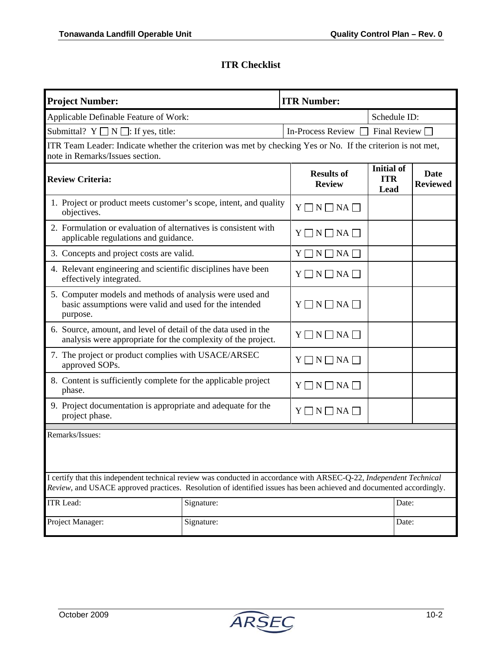### **ITR Checklist**

| <b>Project Number:</b><br><b>ITR Number:</b>                                                                                                                                                                                               |                                    |                                         |                                |  |  |  |  |  |  |  |  |
|--------------------------------------------------------------------------------------------------------------------------------------------------------------------------------------------------------------------------------------------|------------------------------------|-----------------------------------------|--------------------------------|--|--|--|--|--|--|--|--|
| Applicable Definable Feature of Work:                                                                                                                                                                                                      | Schedule ID:                       |                                         |                                |  |  |  |  |  |  |  |  |
| Submittal? $Y \square N \square$ : If yes, title:                                                                                                                                                                                          | In-Process Review $\Box$           | Final Review $\Box$                     |                                |  |  |  |  |  |  |  |  |
| ITR Team Leader: Indicate whether the criterion was met by checking Yes or No. If the criterion is not met,<br>note in Remarks/Issues section.                                                                                             |                                    |                                         |                                |  |  |  |  |  |  |  |  |
| <b>Review Criteria:</b>                                                                                                                                                                                                                    | <b>Results of</b><br><b>Review</b> | <b>Initial of</b><br><b>ITR</b><br>Lead | <b>Date</b><br><b>Reviewed</b> |  |  |  |  |  |  |  |  |
| 1. Project or product meets customer's scope, intent, and quality<br>objectives.                                                                                                                                                           |                                    | $Y \square N \square NA \square$        |                                |  |  |  |  |  |  |  |  |
| 2. Formulation or evaluation of alternatives is consistent with<br>applicable regulations and guidance.                                                                                                                                    |                                    | $Y \square N \square NA \square$        |                                |  |  |  |  |  |  |  |  |
| 3. Concepts and project costs are valid.                                                                                                                                                                                                   | $Y \square N \square NA \square$   |                                         |                                |  |  |  |  |  |  |  |  |
| 4. Relevant engineering and scientific disciplines have been<br>effectively integrated.                                                                                                                                                    | $Y \square N \square NA \square$   |                                         |                                |  |  |  |  |  |  |  |  |
| 5. Computer models and methods of analysis were used and<br>basic assumptions were valid and used for the intended<br>purpose.                                                                                                             |                                    | $Y \square N \square NA \square$        |                                |  |  |  |  |  |  |  |  |
| 6. Source, amount, and level of detail of the data used in the<br>analysis were appropriate for the complexity of the project.                                                                                                             | $Y \square N \square NA \square$   |                                         |                                |  |  |  |  |  |  |  |  |
| 7. The project or product complies with USACE/ARSEC<br>approved SOPs.                                                                                                                                                                      | $Y \square N \square NA \square$   |                                         |                                |  |  |  |  |  |  |  |  |
| 8. Content is sufficiently complete for the applicable project<br>phase.                                                                                                                                                                   | $Y \square N \square NA \square$   |                                         |                                |  |  |  |  |  |  |  |  |
| 9. Project documentation is appropriate and adequate for the<br>project phase.                                                                                                                                                             |                                    | $Y \square N \square NA \square$        |                                |  |  |  |  |  |  |  |  |
| Remarks/Issues:                                                                                                                                                                                                                            |                                    |                                         |                                |  |  |  |  |  |  |  |  |
| I certify that this independent technical review was conducted in accordance with ARSEC-Q-22, Independent Technical<br>Review, and USACE approved practices. Resolution of identified issues has been achieved and documented accordingly. |                                    |                                         |                                |  |  |  |  |  |  |  |  |
| <b>ITR</b> Lead:                                                                                                                                                                                                                           | Signature:                         |                                         | Date:                          |  |  |  |  |  |  |  |  |
| Project Manager:                                                                                                                                                                                                                           | Signature:                         |                                         | Date:                          |  |  |  |  |  |  |  |  |

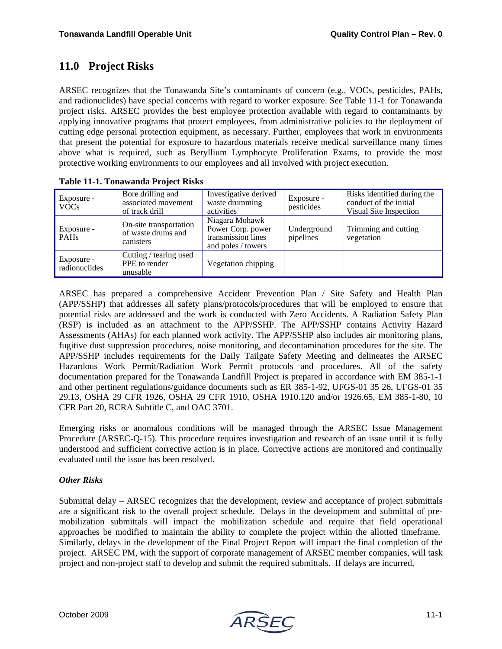### **11.0 Project Risks**

ARSEC recognizes that the Tonawanda Site's contaminants of concern (e.g., VOCs, pesticides, PAHs, and radionuclides) have special concerns with regard to worker exposure. See Table 11-1 for Tonawanda project risks. ARSEC provides the best employee protection available with regard to contaminants by applying innovative programs that protect employees, from administrative policies to the deployment of cutting edge personal protection equipment, as necessary. Further, employees that work in environments that present the potential for exposure to hazardous materials receive medical surveillance many times above what is required, such as Beryllium Lymphocyte Proliferation Exams, to provide the most protective working environments to our employees and all involved with project execution.

| Exposure -<br>VOC <sub>s</sub>              | Bore drilling and<br>associated movement<br>of track drill | Investigative derived<br>waste drumming<br>activities                           | Exposure -<br>pesticides | Risks identified during the<br>conduct of the initial<br>Visual Site Inspection |
|---------------------------------------------|------------------------------------------------------------|---------------------------------------------------------------------------------|--------------------------|---------------------------------------------------------------------------------|
| Exposure -<br>$\overline{\phantom{a}}$ PAHs | On-site transportation<br>of waste drums and<br>canisters  | Niagara Mohawk<br>Power Corp. power<br>transmission lines<br>and poles / towers | Underground<br>pipelines | Trimming and cutting<br>vegetation                                              |
| Exposure -<br>radionuclides                 | Cutting / tearing used<br>PPE to render<br>unusable        | Vegetation chipping                                                             |                          |                                                                                 |

#### **Table 11-1. Tonawanda Project Risks**

ARSEC has prepared a comprehensive Accident Prevention Plan / Site Safety and Health Plan (APP/SSHP) that addresses all safety plans/protocols/procedures that will be employed to ensure that potential risks are addressed and the work is conducted with Zero Accidents. A Radiation Safety Plan (RSP) is included as an attachment to the APP/SSHP. The APP/SSHP contains Activity Hazard Assessments (AHAs) for each planned work activity. The APP/SSHP also includes air monitoring plans, fugitive dust suppression procedures, noise monitoring, and decontamination procedures for the site. The APP/SSHP includes requirements for the Daily Tailgate Safety Meeting and delineates the ARSEC Hazardous Work Permit/Radiation Work Permit protocols and procedures. All of the safety documentation prepared for the Tonawanda Landfill Project is prepared in accordance with EM 385-1-1 and other pertinent regulations/guidance documents such as ER 385-1-92, UFGS-01 35 26, UFGS-01 35 29.13, OSHA 29 CFR 1926, OSHA 29 CFR 1910, OSHA 1910.120 and/or 1926.65, EM 385-1-80, 10 CFR Part 20, RCRA Subtitle C, and OAC 3701.

Emerging risks or anomalous conditions will be managed through the ARSEC Issue Management Procedure (ARSEC-Q-15). This procedure requires investigation and research of an issue until it is fully understood and sufficient corrective action is in place. Corrective actions are monitored and continually evaluated until the issue has been resolved.

#### *Other Risks*

Submittal delay – ARSEC recognizes that the development, review and acceptance of project submittals are a significant risk to the overall project schedule. Delays in the development and submittal of premobilization submittals will impact the mobilization schedule and require that field operational approaches be modified to maintain the ability to complete the project within the allotted timeframe. Similarly, delays in the development of the Final Project Report will impact the final completion of the project. ARSEC PM, with the support of corporate management of ARSEC member companies, will task project and non-project staff to develop and submit the required submittals. If delays are incurred,